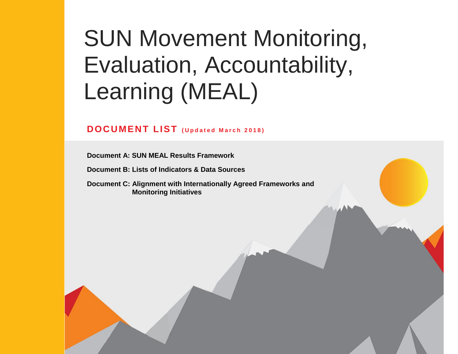# SUN Movement Monitoring, Evaluation, Accountability, Learning (MEAL)

## **DOCUMENT LIST ( U p d a t e d M a r c h 2 0 1 8 )**

**Document A: SUN MEAL Results Framework** 

**Document B: Lists of Indicators & Data Sources**

**Document C: Alignment with Internationally Agreed Frameworks and Monitoring Initiatives**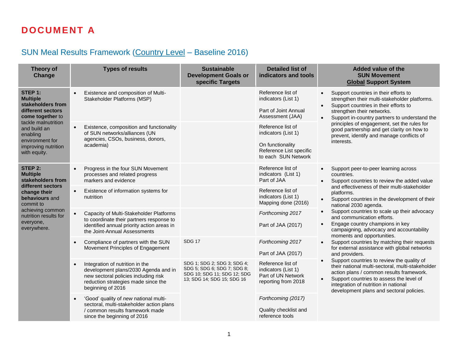# **DOCUMENT A**

## SUN Meal Results Framework (Country Level – Baseline 2016)

| <b>Theory of</b><br>Change                                                                                                                                                                            |           | <b>Types of results</b>                                                                                                                                                     | <b>Sustainable</b><br><b>Development Goals or</b><br>specific Targets                                                   | <b>Detailed list of</b><br>indicators and tools                                                                | <b>Added value of the</b><br><b>SUN Movement</b><br><b>Global Support System</b>                                                                                                                                                                                                                     |
|-------------------------------------------------------------------------------------------------------------------------------------------------------------------------------------------------------|-----------|-----------------------------------------------------------------------------------------------------------------------------------------------------------------------------|-------------------------------------------------------------------------------------------------------------------------|----------------------------------------------------------------------------------------------------------------|------------------------------------------------------------------------------------------------------------------------------------------------------------------------------------------------------------------------------------------------------------------------------------------------------|
| STEP 1:<br><b>Multiple</b><br>stakeholders from<br>different sectors<br>come together to<br>tackle malnutrition<br>and build an<br>enabling<br>environment for<br>improving nutrition<br>with equity. | $\bullet$ | Existence and composition of Multi-<br>Stakeholder Platforms (MSP)                                                                                                          |                                                                                                                         | Reference list of<br>indicators (List 1)<br>Part of Joint Annual<br>Assessment (JAA)                           | Support countries in their efforts to<br>strengthen their multi-stakeholder platforms.<br>Support countries in their efforts to<br>$\bullet$<br>strengthen their networks.<br>Support in-country partners to understand the<br>$\bullet$                                                             |
|                                                                                                                                                                                                       | $\bullet$ | Existence, composition and functionality<br>of SUN networks/alliances (UN<br>agencies, CSOs, business, donors,<br>academia)                                                 |                                                                                                                         | Reference list of<br>indicators (List 1)<br>On functionality<br>Reference List specific<br>to each SUN Network | principles of engagement, set the rules for<br>good partnership and get clarity on how to<br>prevent, identify and manage conflicts of<br>interests.                                                                                                                                                 |
| STEP 2:<br><b>Multiple</b><br>stakeholders from<br>different sectors<br>change their<br>behaviours and<br>commit to<br>achieving common<br>nutrition results for<br>everyone,<br>everywhere.          | $\bullet$ | Progress in the four SUN Movement<br>processes and related progress<br>markers and evidence                                                                                 |                                                                                                                         | Reference list of<br>indicators (List 1)<br>Part of JAA                                                        | Support peer-to-peer learning across<br>countries.<br>Support countries to review the added value<br>$\bullet$                                                                                                                                                                                       |
|                                                                                                                                                                                                       | $\bullet$ | Existence of information systems for<br>nutrition                                                                                                                           |                                                                                                                         | Reference list of<br>indicators (List 1)<br>Mapping done (2016)                                                | and effectiveness of their multi-stakeholder<br>platforms.<br>Support countries in the development of their<br>$\bullet$<br>national 2030 agenda.                                                                                                                                                    |
|                                                                                                                                                                                                       | $\bullet$ | Capacity of Multi-Stakeholder Platforms<br>to coordinate their partners response to<br>identified annual priority action areas in<br>the Joint-Annual Assessments           |                                                                                                                         | Forthcoming 2017<br>Part of JAA (2017)                                                                         | Support countries to scale up their advocacy<br>$\bullet$<br>and communication efforts.<br>Engage country champions in key<br>$\bullet$<br>campaigning, advocacy and accountability<br>moments and opportunities.                                                                                    |
|                                                                                                                                                                                                       | $\bullet$ | Compliance of partners with the SUN<br>Movement Principles of Engagement                                                                                                    | <b>SDG 17</b>                                                                                                           | Forthcoming 2017<br>Part of JAA (2017)                                                                         | Support countries by matching their requests<br>for external assistance with global networks<br>and providers.                                                                                                                                                                                       |
|                                                                                                                                                                                                       | $\bullet$ | Integration of nutrition in the<br>development plans/2030 Agenda and in<br>new sectoral policies including risk<br>reduction strategies made since the<br>beginning of 2016 | SDG 1; SDG 2; SDG 3; SDG 4;<br>SDG 5; SDG 6; SDG 7; SDG 8;<br>SDG 10; SDG 11; SDG 12; SDG<br>13; SDG 14; SDG 15; SDG 16 | Reference list of<br>indicators (List 1)<br>Part of UN Network<br>reporting from 2018                          | Support countries to review the quality of<br>$\bullet$<br>their national multi-sectoral, multi-stakeholder<br>action plans / common results framework.<br>Support countries to assess the level of<br>$\bullet$<br>integration of nutrition in national<br>development plans and sectoral policies. |
|                                                                                                                                                                                                       | $\bullet$ | 'Good' quality of new national multi-<br>sectoral, multi-stakeholder action plans<br>/ common results framework made<br>since the beginning of 2016                         |                                                                                                                         | Forthcoming (2017)<br>Quality checklist and<br>reference tools                                                 |                                                                                                                                                                                                                                                                                                      |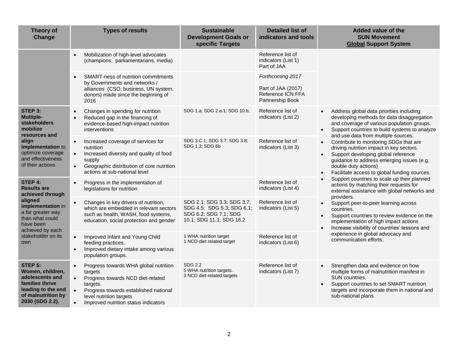| Theory of<br>Change                                                                                                              |                                                  | <b>Types of results</b>                                                                                                                                                                                       | <b>Sustainable</b><br><b>Development Goals or</b><br>specific Targets                                         | <b>Detailed list of</b><br>indicators and tools                                 |                                     | <b>Added value of the</b><br><b>SUN Movement</b><br><b>Global Support System</b>                                                                                                                                                               |
|----------------------------------------------------------------------------------------------------------------------------------|--------------------------------------------------|---------------------------------------------------------------------------------------------------------------------------------------------------------------------------------------------------------------|---------------------------------------------------------------------------------------------------------------|---------------------------------------------------------------------------------|-------------------------------------|------------------------------------------------------------------------------------------------------------------------------------------------------------------------------------------------------------------------------------------------|
|                                                                                                                                  | $\bullet$                                        | Mobilization of high-level advocates<br>(champions, parliamentarians, media)                                                                                                                                  |                                                                                                               | Reference list of<br>indicators (List 1)<br>Part of JAA                         |                                     |                                                                                                                                                                                                                                                |
|                                                                                                                                  | $\bullet$                                        | SMART-ness of nutrition commitments<br>by Governments and networks /<br>alliances (CSO, business, UN system,<br>donors) made since the beginning of<br>2016                                                   |                                                                                                               | Forthcoming 2017<br>Part of JAA (2017)<br>Reference ICN FFA<br>Partnership Book |                                     |                                                                                                                                                                                                                                                |
| STEP 3:<br><b>Multiple-</b><br><b>stakeholders</b><br>mobilize<br>resources and                                                  | $\bullet$<br>$\bullet$                           | Changes in spending for nutrition<br>Reduced gap in the financing of<br>evidence-based high-impact nutrition<br>interventions                                                                                 | SDG 1.a; SDG 2.a.1; SDG 10.b;                                                                                 | Reference list of<br>indicators (List 2)                                        | $\bullet$<br>$\bullet$              | Address global data priorities including<br>developing methods for data disaggregation<br>and coverage of various population groups.<br>Support countries to build systems to analyze<br>and use data from multiple sources.                   |
| align<br>implementation to<br>optimize coverage<br>and effectiveness<br>of their actions                                         | $\bullet$<br>$\bullet$<br>$\bullet$              | Increased coverage of services for<br>nutrition<br>Increased diversity and quality of food<br>supply<br>Geographic distribution of core nutrition<br>actions at sub-national level                            | SDG 3.C.1; SDG 3.7; SDG 3.8;<br>SDG 1.3; SDG 6b                                                               | Reference list of<br>indicators (List 3)                                        | $\bullet$<br>$\bullet$<br>$\bullet$ | Contribute to monitoring SDGs that are<br>driving nutrition impact in key sectors.<br>Support developing global reference<br>guidance to address emerging issues (e.g.<br>double duty actions)<br>Facilitate access to global funding sources. |
| <b>STEP 4:</b><br><b>Results are</b><br>achieved through                                                                         | $\bullet$                                        | Progress in the implementation of<br>legislations for nutrition                                                                                                                                               |                                                                                                               | Reference list of<br>indicators (List 4)                                        |                                     | Support countries to scale up their planned<br>actions by matching their requests for<br>external assistance with global networks and<br>providers.                                                                                            |
| aligned<br>implementation in<br>a far greater way<br>than what could<br>have been<br>achieved by each                            | $\bullet$                                        | Changes in key drivers of nutrition,<br>which are embedded in relevant sectors<br>such as health, WASH, food systems,<br>education, social protection and gender                                              | SDG 2.1; SDG 3.3; SDG 3.7;<br>SDG 4.5: SDG 5.3; SDG 6.1;<br>SDG 6.2; SDG 7.1; SDG<br>10.1; SDG 11.1; SDG 16.2 | Reference list of<br>indicators (List 5)                                        | $\bullet$<br>$\bullet$<br>$\bullet$ | Support peer-to-peer learning across<br>countries.<br>Support countries to review evidence on the<br>implementation of high impact actions<br>Increase visibility of countries' lessons and                                                    |
| stakeholder on its<br>own                                                                                                        | $\bullet$<br>$\bullet$                           | Improved Infant and Young Child<br>feeding practices.<br>Improved dietary intake among various<br>population groups.                                                                                          | 1 WHA nutrition target<br>1 NCD-diet related target                                                           | Reference list of<br>indicators (List 6)                                        |                                     | experience in global advocacy and<br>communication efforts.                                                                                                                                                                                    |
| STEP 5:<br>Women, children,<br>adolescents and<br>families thrive<br>leading to the end<br>of malnutrition by<br>2030 (SDG 2.2). | $\bullet$<br>$\bullet$<br>$\bullet$<br>$\bullet$ | Progress towards WHA global nutrition<br>targets<br>Progress towards NCD diet-related<br>targets.<br>Progress towards established national<br>level nutrition targets<br>Improved nutrition status indicators | SDG 2.2<br>5 WHA nutrition targets.<br>3 NCD diet-related targets                                             | Reference list of<br>indicators (List 7)                                        | $\bullet$<br>$\bullet$              | Strengthen data and evidence on how<br>multiple forms of malnutrition manifest in<br>SUN countries.<br>Support countries to set SMART nutrition<br>targets and incorporate them in national and<br>sub-national plans.                         |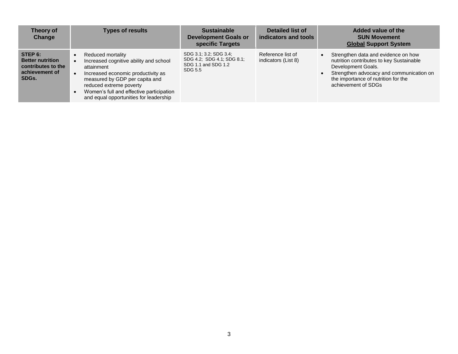| Theory of<br>Change                                                                 | <b>Types of results</b>                                                                                                                                                                                                                                            | <b>Sustainable</b><br><b>Development Goals or</b><br>specific Targets                  | Detailed list of<br>indicators and tools | Added value of the<br><b>SUN Movement</b><br><b>Global Support System</b>                                                                                                                                       |
|-------------------------------------------------------------------------------------|--------------------------------------------------------------------------------------------------------------------------------------------------------------------------------------------------------------------------------------------------------------------|----------------------------------------------------------------------------------------|------------------------------------------|-----------------------------------------------------------------------------------------------------------------------------------------------------------------------------------------------------------------|
| STEP 6:<br><b>Better nutrition</b><br>contributes to the<br>achievement of<br>SDGs. | Reduced mortality<br>Increased cognitive ability and school<br>attainment<br>Increased economic productivity as<br>measured by GDP per capita and<br>reduced extreme poverty<br>Women's full and effective participation<br>and equal opportunities for leadership | SDG 3.1; 3.2; SDG 3.4;<br>SDG 4.2; SDG 4.1; SDG 8.1;<br>SDG 1.1 and SDG 1.2<br>SDG 5.5 | Reference list of<br>indicators (List 8) | Strengthen data and evidence on how<br>nutrition contributes to key Sustainable<br>Development Goals.<br>Strengthen advocacy and communication on<br>the importance of nutrition for the<br>achievement of SDGs |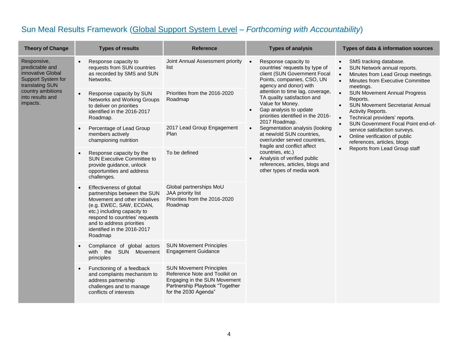## Sun Meal Results Framework (Global Support System Level *– Forthcoming with Accountability*)

| <b>Theory of Change</b>                                                                                                                           | <b>Types of results</b>                                                                                                                                                                                                                                                   | <b>Reference</b>                                                                                                                                          | <b>Types of analysis</b>                                                                                                                                                                                                                                                                                                                                                                                                                                                                                                                          | Types of data & information sources                                                                                                                                                             |  |                                                                                                                                     |
|---------------------------------------------------------------------------------------------------------------------------------------------------|---------------------------------------------------------------------------------------------------------------------------------------------------------------------------------------------------------------------------------------------------------------------------|-----------------------------------------------------------------------------------------------------------------------------------------------------------|---------------------------------------------------------------------------------------------------------------------------------------------------------------------------------------------------------------------------------------------------------------------------------------------------------------------------------------------------------------------------------------------------------------------------------------------------------------------------------------------------------------------------------------------------|-------------------------------------------------------------------------------------------------------------------------------------------------------------------------------------------------|--|-------------------------------------------------------------------------------------------------------------------------------------|
| Responsive,<br>predictable and<br>innovative Global<br>Support System for<br>translating SUN<br>country ambitions<br>into results and<br>impacts. | Response capacity to<br>$\bullet$<br>requests from SUN countries<br>as recorded by SMS and SUN<br>Networks.                                                                                                                                                               | Joint Annual Assessment priority<br>list                                                                                                                  | Response capacity to<br>$\bullet$<br>countries' requests by type of<br>client (SUN Government Focal<br>Points, companies, CSO, UN<br>agency and donor) with                                                                                                                                                                                                                                                                                                                                                                                       | SMS tracking database.<br>$\bullet$<br>SUN Network annual reports.<br>$\bullet$<br>Minutes from Lead Group meetings.<br>$\bullet$<br>Minutes from Executive Committee<br>$\bullet$<br>meetings. |  |                                                                                                                                     |
|                                                                                                                                                   | Response capacity by SUN<br>$\bullet$<br>Networks and Working Groups<br>to deliver on priorities<br>identified in the 2016-2017<br>Roadmap.                                                                                                                               | Priorities from the 2016-2020<br>Roadmap                                                                                                                  | attention to time lag, coverage,<br>$\bullet$<br>TA quality satisfaction and<br>Reports.<br>Value for Money.<br>$\bullet$<br>Gap analysis to update<br>Activity Reports.<br>priorities identified in the 2016-<br>$\bullet$<br>2017 Roadmap.<br>$\bullet$<br>Segmentation analysis (looking<br>$\bullet$<br>at new/old SUN countries,<br>$\bullet$<br>over/under served countries.<br>fragile and conflict affect<br>$\bullet$<br>countries, etc.)<br>Analysis of verified public<br>references, articles, blogs and<br>other types of media work | <b>SUN Movement Annual Progress</b><br><b>SUN Movement Secretariat Annual</b><br>Technical providers' reports.                                                                                  |  |                                                                                                                                     |
|                                                                                                                                                   | Percentage of Lead Group<br>$\bullet$<br>members actively<br>championing nutrition                                                                                                                                                                                        | 2017 Lead Group Engagement<br>Plan                                                                                                                        |                                                                                                                                                                                                                                                                                                                                                                                                                                                                                                                                                   |                                                                                                                                                                                                 |  | SUN Government Focal Point end-of-<br>service satisfaction surveys.<br>Online verification of public<br>references, articles, blogs |
|                                                                                                                                                   | Response capacity by the<br>$\bullet$<br><b>SUN Executive Committee to</b><br>provide guidance, unlock<br>opportunities and address<br>challenges.                                                                                                                        | To be defined                                                                                                                                             |                                                                                                                                                                                                                                                                                                                                                                                                                                                                                                                                                   | Reports from Lead Group staff                                                                                                                                                                   |  |                                                                                                                                     |
|                                                                                                                                                   | Effectiveness of global<br>$\bullet$<br>partnerships between the SUN<br>Movement and other initiatives<br>(e.g. EWEC, SAW, ECDAN,<br>etc.) including capacity to<br>respond to countries' requests<br>and to address priorities<br>identified in the 2016-2017<br>Roadmap | Global partnerships MoU<br>JAA priority list<br>Priorities from the 2016-2020<br>Roadmap                                                                  |                                                                                                                                                                                                                                                                                                                                                                                                                                                                                                                                                   |                                                                                                                                                                                                 |  |                                                                                                                                     |
|                                                                                                                                                   | Compliance of global actors<br>$\bullet$<br>with the<br>SUN Movement<br>principles                                                                                                                                                                                        | <b>SUN Movement Principles</b><br><b>Engagement Guidance</b>                                                                                              |                                                                                                                                                                                                                                                                                                                                                                                                                                                                                                                                                   |                                                                                                                                                                                                 |  |                                                                                                                                     |
|                                                                                                                                                   | Functioning of a feedback<br>$\bullet$<br>and complaints mechanism to<br>address partnership<br>challenges and to manage<br>conflicts of interests                                                                                                                        | <b>SUN Movement Principles</b><br>Reference Note and Toolkit on<br>Engaging in the SUN Movement<br>Partnership Playbook "Together<br>for the 2030 Agenda" |                                                                                                                                                                                                                                                                                                                                                                                                                                                                                                                                                   |                                                                                                                                                                                                 |  |                                                                                                                                     |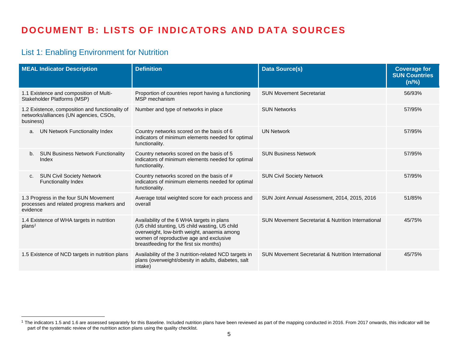# **DOCUMENT B: LISTS OF INDICATORS AND DATA SOURCES**

## List 1: Enabling Environment for Nutrition

 $\overline{a}$ 

| <b>MEAL Indicator Description</b>                                                                      | <b>Definition</b>                                                                                                                                                                                                                 | <b>Data Source(s)</b>                                         | <b>Coverage for</b><br><b>SUN Countries</b><br>(n/%) |
|--------------------------------------------------------------------------------------------------------|-----------------------------------------------------------------------------------------------------------------------------------------------------------------------------------------------------------------------------------|---------------------------------------------------------------|------------------------------------------------------|
| 1.1 Existence and composition of Multi-<br>Stakeholder Platforms (MSP)                                 | Proportion of countries report having a functioning<br>MSP mechanism                                                                                                                                                              | <b>SUN Movement Secretariat</b>                               | 56/93%                                               |
| 1.2 Existence, composition and functionality of<br>networks/alliances (UN agencies, CSOs,<br>business) | Number and type of networks in place                                                                                                                                                                                              | <b>SUN Networks</b>                                           | 57/95%                                               |
| UN Network Functionality Index<br>a.                                                                   | Country networks scored on the basis of 6<br>indicators of minimum elements needed for optimal<br>functionality.                                                                                                                  | <b>UN Network</b>                                             | 57/95%                                               |
| <b>SUN Business Network Functionality</b><br>b.<br>Index                                               | Country networks scored on the basis of 5<br>indicators of minimum elements needed for optimal<br>functionality.                                                                                                                  | <b>SUN Business Network</b>                                   | 57/95%                                               |
| <b>SUN Civil Society Network</b><br>C.<br><b>Functionality Index</b>                                   | Country networks scored on the basis of #<br>indicators of minimum elements needed for optimal<br>functionality.                                                                                                                  | <b>SUN Civil Society Network</b>                              | 57/95%                                               |
| 1.3 Progress in the four SUN Movement<br>processes and related progress markers and<br>evidence        | Average total weighted score for each process and<br>overall                                                                                                                                                                      | SUN Joint Annual Assessment, 2014, 2015, 2016                 | 51/85%                                               |
| 1.4 Existence of WHA targets in nutrition<br>plan <sup>1</sup>                                         | Availability of the 6 WHA targets in plans<br>(U5 child stunting, U5 child wasting, U5 child<br>overweight, low-birth weight, anaemia among<br>women of reproductive age and exclusive<br>breastfeeding for the first six months) | SUN Movement Secretariat & Nutrition International            | 45/75%                                               |
| 1.5 Existence of NCD targets in nutrition plans                                                        | Availability of the 3 nutrition-related NCD targets in<br>plans (overweight/obesity in adults, diabetes, salt<br>intake)                                                                                                          | <b>SUN Movement Secretariat &amp; Nutrition International</b> | 45/75%                                               |

 $1$  The indicators 1.5 and 1.6 are assessed separately for this Baseline. Included nutrition plans have been reviewed as part of the mapping conducted in 2016. From 2017 onwards, this indicator will be part of the systematic review of the nutrition action plans using the quality checklist.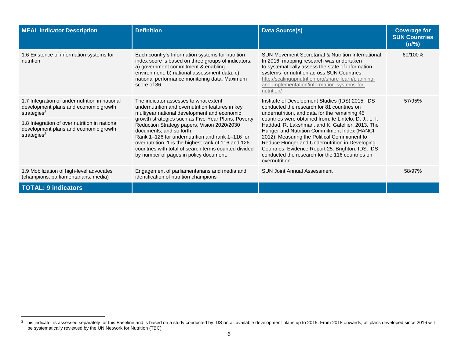| <b>MEAL Indicator Description</b>                                                                                                                                                                                                       | <b>Definition</b>                                                                                                                                                                                                                                                                                                                                                                                                                                                                      | <b>Data Source(s)</b>                                                                                                                                                                                                                                                                                                                                                                                                                                                                                                                      | <b>Coverage for</b><br><b>SUN Countries</b><br>(n/%) |
|-----------------------------------------------------------------------------------------------------------------------------------------------------------------------------------------------------------------------------------------|----------------------------------------------------------------------------------------------------------------------------------------------------------------------------------------------------------------------------------------------------------------------------------------------------------------------------------------------------------------------------------------------------------------------------------------------------------------------------------------|--------------------------------------------------------------------------------------------------------------------------------------------------------------------------------------------------------------------------------------------------------------------------------------------------------------------------------------------------------------------------------------------------------------------------------------------------------------------------------------------------------------------------------------------|------------------------------------------------------|
| 1.6 Existence of information systems for<br>nutrition                                                                                                                                                                                   | Each country's Information systems for nutrition<br>index score is based on three groups of indicators:<br>a) government commitment & enabling<br>environment; b) national assessment data; c)<br>national performance monitoring data. Maximum<br>score of 36.                                                                                                                                                                                                                        | SUN Movement Secretariat & Nutrition International.<br>In 2016, mapping research was undertaken<br>to systematically assess the state of information<br>systems for nutrition across SUN Countries.<br>http://scalingupnutrition.org/share-learn/planning-<br>and-implementation/information-systems-for-<br>nutrition/                                                                                                                                                                                                                    | 60/100%                                              |
| 1.7 Integration of under nutrition in national<br>development plans and economic growth<br>strategies <sup>2</sup><br>1.8 Integration of over nutrition in national<br>development plans and economic growth<br>strategies <sup>2</sup> | The indicator assesses to what extent<br>undernutrition and overnutrition features in key<br>multiyear national development and economic<br>growth strategies such as Five-Year Plans, Poverty<br>Reduction Strategy papers, Vision 2020/2030<br>documents, and so forth.<br>Rank 1-126 for undernutrition and rank 1-116 for<br>overnutrition. 1 is the highest rank of 116 and 126<br>countries with total of search terms counted divided<br>by number of pages in policy document. | Institute of Development Studies (IDS) 2015. IDS<br>conducted the research for 81 countries on<br>undernutrition, and data for the remaining 45<br>countries were obtained from: te Lintelo, D. J., L. I.<br>Haddad, R. Lakshman, and K. Gatellier. 2013. The<br>Hunger and Nutrition Commitment Index (HANCI)<br>2012): Measuring the Political Commitment to<br>Reduce Hunger and Undernutrition in Developing<br>Countries. Evidence Report 25. Brighton: IDS. IDS<br>conducted the research for the 116 countries on<br>overnutrition. | 57/95%                                               |
| 1.9 Mobilization of high-level advocates<br>(champions, parliamentarians, media)                                                                                                                                                        | Engagement of parliamentarians and media and<br>identification of nutrition champions                                                                                                                                                                                                                                                                                                                                                                                                  | <b>SUN Joint Annual Assessment</b>                                                                                                                                                                                                                                                                                                                                                                                                                                                                                                         | 58/97%                                               |
| <b>TOTAL: 9 indicators</b>                                                                                                                                                                                                              |                                                                                                                                                                                                                                                                                                                                                                                                                                                                                        |                                                                                                                                                                                                                                                                                                                                                                                                                                                                                                                                            |                                                      |

 $\overline{a}$ 

 $^2$  This indicator is assessed separately for this Baseline and is based on a study conducted by IDS on all available development plans up to 2015. From 2018 onwards, all plans developed since 2016 will be systematically reviewed by the UN Network for Nutrition (TBC)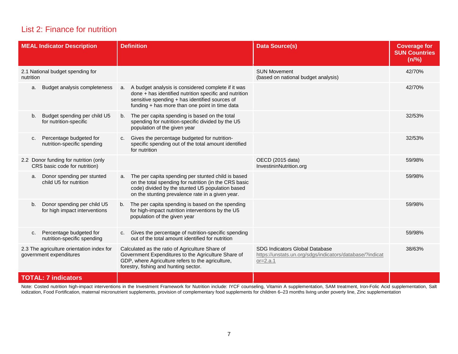## List 2: Finance for nutrition

| <b>MEAL Indicator Description</b>                                      | <b>Definition</b>                                                                                                                                                                                                         | <b>Data Source(s)</b>                                                                                      | <b>Coverage for</b><br><b>SUN Countries</b><br>(n/%) |
|------------------------------------------------------------------------|---------------------------------------------------------------------------------------------------------------------------------------------------------------------------------------------------------------------------|------------------------------------------------------------------------------------------------------------|------------------------------------------------------|
| 2.1 National budget spending for<br>nutrition                          |                                                                                                                                                                                                                           | <b>SUN Movement</b><br>(based on national budget analysis)                                                 | 42/70%                                               |
| Budget analysis completeness<br>a.                                     | A budget analysis is considered complete if it was<br>a.<br>done + has identified nutrition specific and nutrition<br>sensitive spending + has identified sources of<br>funding + has more than one point in time data    |                                                                                                            | 42/70%                                               |
| Budget spending per child U5<br>b.<br>for nutrition-specific           | The per capita spending is based on the total<br>b.<br>spending for nutrition-specific divided by the U5<br>population of the given year                                                                                  |                                                                                                            | 32/53%                                               |
| Percentage budgeted for<br>c.<br>nutrition-specific spending           | Gives the percentage budgeted for nutrition-<br>C <sub>1</sub><br>specific spending out of the total amount identified<br>for nutrition                                                                                   |                                                                                                            | 32/53%                                               |
| 2.2 Donor funding for nutrition (only<br>CRS basic code for nutrition) |                                                                                                                                                                                                                           | OECD (2015 data)<br>InvestininNutrition.org                                                                | 59/98%                                               |
| Donor spending per stunted<br>a.<br>child U5 for nutrition             | The per capita spending per stunted child is based<br>a.<br>on the total spending for nutrition (in the CRS basic<br>code) divided by the stunted U5 population based<br>on the stunting prevalence rate in a given year. |                                                                                                            | 59/98%                                               |
| Donor spending per child U5<br>b.<br>for high impact interventions     | The per capita spending is based on the spending<br>b.<br>for high-impact nutrition interventions by the U5<br>population of the given year                                                                               |                                                                                                            | 59/98%                                               |
| Percentage budgeted for<br>c.<br>nutrition-specific spending           | Gives the percentage of nutrition-specific spending<br>C.<br>out of the total amount identified for nutrition                                                                                                             |                                                                                                            | 59/98%                                               |
| 2.3 The agriculture orientation index for<br>government expenditures   | Calculated as the ratio of Agriculture Share of<br>Government Expenditures to the Agriculture Share of<br>GDP, where Agriculture refers to the agriculture,<br>forestry, fishing and hunting sector.                      | SDG Indicators Global Database<br>https://unstats.un.org/sdgs/indicators/database/?indicat<br>$or = 2.a.1$ | 38/63%                                               |
| <b>TOTAL: 7 indicators</b>                                             |                                                                                                                                                                                                                           |                                                                                                            |                                                      |

Note: Costed nutrition high-impact interventions in the Investment Framework for Nutrition include: IYCF counseling, Vitamin A supplementation, SAM treatment, Iron-Folic Acid supplementation, Salt iodization, Food Fortification, maternal micronutrient supplements, provision of complementary food supplements for children 6–23 months living under poverty line, Zinc supplementation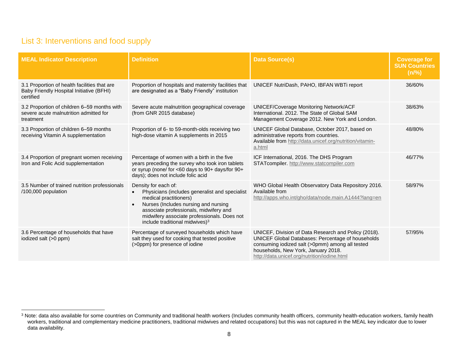## List 3: Interventions and food supply

| <b>MEAL Indicator Description</b>                                                                     | <b>Definition</b>                                                                                                                                                                                                                                                                                | <b>Data Source(s)</b>                                                                                                                                                                                                                               | <b>Coverage for</b><br><b>SUN Countries</b><br>(n/%) |
|-------------------------------------------------------------------------------------------------------|--------------------------------------------------------------------------------------------------------------------------------------------------------------------------------------------------------------------------------------------------------------------------------------------------|-----------------------------------------------------------------------------------------------------------------------------------------------------------------------------------------------------------------------------------------------------|------------------------------------------------------|
| 3.1 Proportion of health facilities that are<br>Baby Friendly Hospital Initiative (BFHI)<br>certified | Proportion of hospitals and maternity facilities that<br>are designated as a "Baby Friendly" institution                                                                                                                                                                                         | UNICEF NutriDash, PAHO, IBFAN WBTi report                                                                                                                                                                                                           | 36/60%                                               |
| 3.2 Proportion of children 6-59 months with<br>severe acute malnutrition admitted for<br>treatment    | Severe acute malnutrition geographical coverage<br>(from GNR 2015 database)                                                                                                                                                                                                                      | UNICEF/Coverage Monitoring Network/ACF<br>International, 2012. The State of Global SAM<br>Management Coverage 2012. New York and London.                                                                                                            | 38/63%                                               |
| 3.3 Proportion of children 6-59 months<br>receiving Vitamin A supplementation                         | Proportion of 6- to 59-month-olds receiving two<br>high-dose vitamin A supplements in 2015                                                                                                                                                                                                       | UNICEF Global Database, October 2017, based on<br>administrative reports from countries.<br>Available from http://data.unicef.org/nutrition/vitamin-<br>a.html                                                                                      | 48/80%                                               |
| 3.4 Proportion of pregnant women receiving<br>Iron and Folic Acid supplementation                     | Percentage of women with a birth in the five<br>years preceding the survey who took iron tablets<br>or syrup (none/ for <60 days to 90+ days/for 90+<br>days); does not include folic acid                                                                                                       | ICF International, 2016. The DHS Program<br>STATcompiler. http://www.statcompiler.com                                                                                                                                                               | 46/77%                                               |
| 3.5 Number of trained nutrition professionals<br>/100,000 population                                  | Density for each of:<br>Physicians (includes generalist and specialist<br>$\bullet$<br>medical practitioners)<br>Nurses (Includes nursing and nursing<br>$\bullet$<br>associate professionals, midwifery and<br>midwifery associate professionals. Does not<br>include traditional midwives) $3$ | WHO Global Health Observatory Data Repository 2016.<br>Available from<br>http://apps.who.int/gho/data/node.main.A1444?lang=en                                                                                                                       | 58/97%                                               |
| 3.6 Percentage of households that have<br>iodized salt (>0 ppm)                                       | Percentage of surveyed households which have<br>salt they used for cooking that tested positive<br>(>0ppm) for presence of iodine                                                                                                                                                                | UNICEF, Division of Data Research and Policy (2018).<br>UNICEF Global Databases: Percentage of households<br>consuming iodized salt (>0pmm) among all tested<br>households, New York, January 2018.<br>http://data.unicef.org/nutrition/iodine.html | 57/95%                                               |

<sup>&</sup>lt;sup>3</sup> Note: data also available for some countries on Community and traditional health workers (Includes community health officers, community health-education workers, family health workers, traditional and complementary medicine practitioners, traditional midwives and related occupations) but this was not captured in the MEAL key indicator due to lower data availability.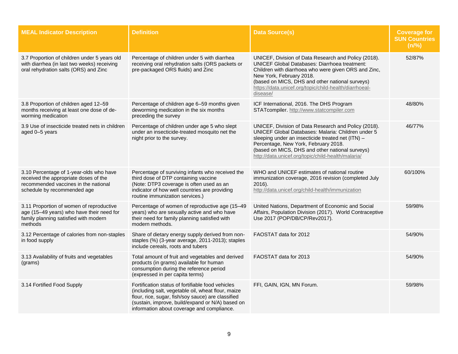| <b>MEAL Indicator Description</b>                                                                                                                       | <b>Definition</b>                                                                                                                                                                                                                                               | Data Source(s)                                                                                                                                                                                                                                                                                                            | <b>Coverage for</b><br><b>SUN Countries</b><br>(n/%) |
|---------------------------------------------------------------------------------------------------------------------------------------------------------|-----------------------------------------------------------------------------------------------------------------------------------------------------------------------------------------------------------------------------------------------------------------|---------------------------------------------------------------------------------------------------------------------------------------------------------------------------------------------------------------------------------------------------------------------------------------------------------------------------|------------------------------------------------------|
| 3.7 Proportion of children under 5 years old<br>with diarrhea (in last two weeks) receiving<br>oral rehydration salts (ORS) and Zinc                    | Percentage of children under 5 with diarrhea<br>receiving oral rehydration salts (ORS packets or<br>pre-packaged ORS fluids) and Zinc                                                                                                                           | UNICEF, Division of Data Research and Policy (2018).<br><b>UNICEF Global Databases: Diarrhoea treatment:</b><br>Children with diarrhoea who were given ORS and Zinc,<br>New York, February 2018.<br>(based on MICS, DHS and other national surveys)<br>https://data.unicef.org/topic/child-health/diarrhoeal-<br>disease/ | 52/87%                                               |
| 3.8 Proportion of children aged 12-59<br>months receiving at least one dose of de-<br>worming medication                                                | Percentage of children age 6-59 months given<br>deworming medication in the six months<br>preceding the survey                                                                                                                                                  | ICF International, 2016. The DHS Program<br>STATcompiler. http://www.statcompiler.com                                                                                                                                                                                                                                     | 48/80%                                               |
| 3.9 Use of insecticide treated nets in children<br>aged 0-5 years                                                                                       | Percentage of children under age 5 who slept<br>under an insecticide-treated mosquito net the<br>night prior to the survey.                                                                                                                                     | UNICEF, Division of Data Research and Policy (2018).<br>UNICEF Global Databases: Malaria: Children under 5<br>sleeping under an insecticide treated net (ITN) -<br>Percentage, New York, February 2018.<br>(based on MICS, DHS and other national surveys)<br>http://data.unicef.org/topic/child-health/malaria/          | 46/77%                                               |
| 3.10 Percentage of 1-year-olds who have<br>received the appropriate doses of the<br>recommended vaccines in the national<br>schedule by recommended age | Percentage of surviving infants who received the<br>third dose of DTP containing vaccine<br>(Note: DTP3 coverage is often used as an<br>indicator of how well countries are providing<br>routine immunization services.)                                        | WHO and UNICEF estimates of national routine<br>immunization coverage, 2016 revision (completed July<br>2016).<br>http://data.unicef.org/child-health/immunization                                                                                                                                                        | 60/100%                                              |
| 3.11 Proportion of women of reproductive<br>age (15-49 years) who have their need for<br>family planning satisfied with modern<br>methods               | Percentage of women of reproductive age (15-49<br>years) who are sexually active and who have<br>their need for family planning satisfied with<br>modern methods.                                                                                               | United Nations, Department of Economic and Social<br>Affairs, Population Division (2017). World Contraceptive<br>Use 2017 (POP/DB/CP/Rev2017).                                                                                                                                                                            | 59/98%                                               |
| 3.12 Percentage of calories from non-staples<br>in food supply                                                                                          | Share of dietary energy supply derived from non-<br>staples (%) (3-year average, 2011-2013); staples<br>include cereals, roots and tubers                                                                                                                       | FAOSTAT data for 2012                                                                                                                                                                                                                                                                                                     | 54/90%                                               |
| 3.13 Availability of fruits and vegetables<br>(grams)                                                                                                   | Total amount of fruit and vegetables and derived<br>products (in grams) available for human<br>consumption during the reference period<br>(expressed in per capita terms)                                                                                       | FAOSTAT data for 2013                                                                                                                                                                                                                                                                                                     | 54/90%                                               |
| 3.14 Fortified Food Supply                                                                                                                              | Fortification status of fortifiable food vehicles<br>(including salt, vegetable oil, wheat flour, maize<br>flour, rice, sugar, fish/soy sauce) are classified<br>(sustain, improve, build/expand or N/A) based on<br>information about coverage and compliance. | FFI, GAIN, IGN, MN Forum.                                                                                                                                                                                                                                                                                                 | 59/98%                                               |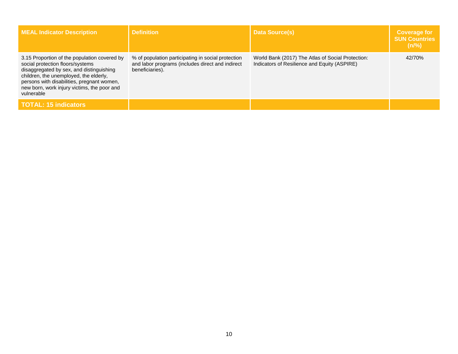| <b>MEAL Indicator Description</b>                                                                                                                                                                                                                                                 | <b>Definition</b>                                                                                                         | <b>Data Source(s)</b>                                                                             | <b>Coverage for</b><br><b>SUN Countries</b><br>$(n\frac{9}{6})$ |
|-----------------------------------------------------------------------------------------------------------------------------------------------------------------------------------------------------------------------------------------------------------------------------------|---------------------------------------------------------------------------------------------------------------------------|---------------------------------------------------------------------------------------------------|-----------------------------------------------------------------|
| 3.15 Proportion of the population covered by<br>social protection floors/systems<br>disaggregated by sex, and distinguishing<br>children, the unemployed, the elderly,<br>persons with disabilities, pregnant women,<br>new born, work injury victims, the poor and<br>vulnerable | % of population participating in social protection<br>and labor programs (includes direct and indirect<br>beneficiaries). | World Bank (2017) The Atlas of Social Protection:<br>Indicators of Resilience and Equity (ASPIRE) | 42/70%                                                          |
| <b>TOTAL: 15 indicators</b>                                                                                                                                                                                                                                                       |                                                                                                                           |                                                                                                   |                                                                 |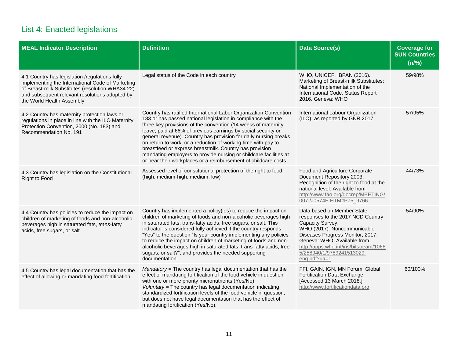## List 4: Enacted legislations

| <b>MEAL Indicator Description</b>                                                                                                                                                                                                     | <b>Definition</b>                                                                                                                                                                                                                                                                                                                                                                                                                                                                                                                                                                                           | <b>Data Source(s)</b>                                                                                                                                                                                                                                                         | <b>Coverage for</b><br><b>SUN Countries</b><br>(n/%) |
|---------------------------------------------------------------------------------------------------------------------------------------------------------------------------------------------------------------------------------------|-------------------------------------------------------------------------------------------------------------------------------------------------------------------------------------------------------------------------------------------------------------------------------------------------------------------------------------------------------------------------------------------------------------------------------------------------------------------------------------------------------------------------------------------------------------------------------------------------------------|-------------------------------------------------------------------------------------------------------------------------------------------------------------------------------------------------------------------------------------------------------------------------------|------------------------------------------------------|
| 4.1 Country has legislation /regulations fully<br>implementing the International Code of Marketing<br>of Breast-milk Substitutes (resolution WHA34.22)<br>and subsequent relevant resolutions adopted by<br>the World Health Assembly | Legal status of the Code in each country                                                                                                                                                                                                                                                                                                                                                                                                                                                                                                                                                                    | WHO, UNICEF, IBFAN (2016).<br>Marketing of Breast-milk Substitutes:<br>National Implementation of the<br>International Code, Status Report<br>2016. Geneva: WHO                                                                                                               | 59/98%                                               |
| 4.2 Country has maternity protection laws or<br>regulations in place in line with the ILO Maternity<br>Protection Convention, 2000 (No. 183) and<br>Recommendation No. 191                                                            | Country has ratified International Labor Organization Convention<br>183 or has passed national legislation in compliance with the<br>three key provisions of the convention (14 weeks of maternity<br>leave, paid at 66% of previous earnings by social security or<br>general revenue). Country has provision for daily nursing breaks<br>on return to work, or a reduction of working time with pay to<br>breastfeed or express breastmilk. Country has provision<br>mandating employers to provide nursing or childcare facilities at<br>or near their workplaces or a reimbursement of childcare costs. | International Labour Organization<br>(ILO), as reported by GNR 2017                                                                                                                                                                                                           | 57/95%                                               |
| 4.3 Country has legislation on the Constitutional<br><b>Right to Food</b>                                                                                                                                                             | Assessed level of constitutional protection of the right to food<br>(high, medium-high, medium, low)                                                                                                                                                                                                                                                                                                                                                                                                                                                                                                        | Food and Agriculture Corporate<br>Document Repository 2003.<br>Recognition of the right to food at the<br>national level. Available from<br>http://www.fao.org/docrep/MEETING/<br>007 /J0574E.HTM#P75_9766                                                                    | 44/73%                                               |
| 4.4 Country has policies to reduce the impact on<br>children of marketing of foods and non-alcoholic<br>beverages high in saturated fats, trans-fatty<br>acids, free sugars, or salt                                                  | Country has implemented a policy(ies) to reduce the impact on<br>children of marketing of foods and non-alcoholic beverages high<br>in saturated fats, trans-fatty acids, free sugars, or salt. This<br>indicator is considered fully achieved if the country responds<br>"Yes" to the question "Is your country implementing any policies<br>to reduce the impact on children of marketing of foods and non-<br>alcoholic beverages high in saturated fats, trans-fatty acids, free<br>sugars, or salt?", and provides the needed supporting<br>documentation.                                             | Data based on Member State<br>responses to the 2017 NCD Country<br>Capacity Survey.<br>WHO (2017). Noncommunicable<br>Diseases Progress Monitor, 2017.<br>Geneva: WHO. Available from<br>http://apps.who.int/iris/bitstream/1066<br>5/258940/1/9789241513029-<br>eng.pdf?ua=1 | 54/90%                                               |
| 4.5 Country has legal documentation that has the<br>effect of allowing or mandating food fortification                                                                                                                                | $M$ andatory = The country has legal documentation that has the<br>effect of mandating fortification of the food vehicle in question<br>with one or more priority micronutrients (Yes/No).<br>Voluntary = The country has legal documentation indicating<br>standardized fortification levels of the food vehicle in question,<br>but does not have legal documentation that has the effect of<br>mandating fortification (Yes/No).                                                                                                                                                                         | FFI, GAIN, IGN, MN Forum. Global<br>Fortification Data Exchange.<br>[Accessed 13 March 2018.]<br>http://www.fortificationdata.org                                                                                                                                             | 60/100%                                              |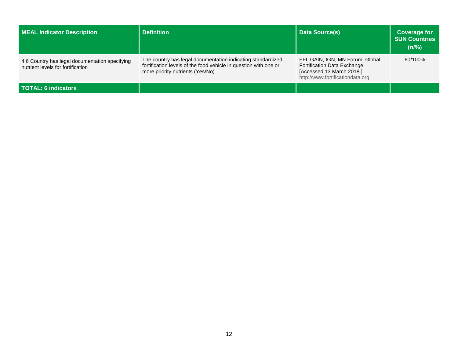| <b>MEAL Indicator Description</b>                                                   | <b>Definition</b>                                                                                                                                                   | <b>Data Source(s)</b>                                                                                                             | <b>Coverage for</b><br><b>SUN Countries</b><br>$(n\frac{9}{6})$ |
|-------------------------------------------------------------------------------------|---------------------------------------------------------------------------------------------------------------------------------------------------------------------|-----------------------------------------------------------------------------------------------------------------------------------|-----------------------------------------------------------------|
| 4.6 Country has legal documentation specifying<br>nutrient levels for fortification | The country has legal documentation indicating standardized<br>fortification levels of the food vehicle in question with one or<br>more priority nutrients (Yes/No) | FFI, GAIN, IGN, MN Forum. Global<br>Fortification Data Exchange.<br>[Accessed 13 March 2018.]<br>http://www.fortificationdata.org | 60/100%                                                         |
| <b>TOTAL: 6 indicators</b>                                                          |                                                                                                                                                                     |                                                                                                                                   |                                                                 |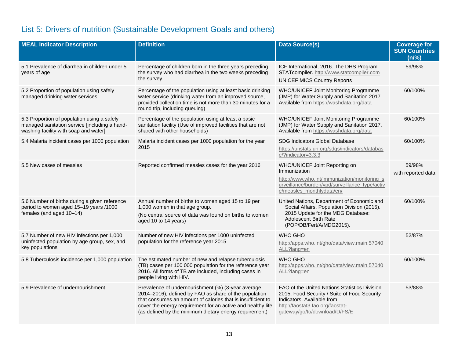## List 5: Drivers of nutrition (Sustainable Development Goals and others)

| <b>MEAL Indicator Description</b>                                                                                                     | <b>Definition</b>                                                                                                                                                                                                                                                                                    | <b>Data Source(s)</b>                                                                                                                                                                            | <b>Coverage for</b><br><b>SUN Countries</b><br>(n/%) |
|---------------------------------------------------------------------------------------------------------------------------------------|------------------------------------------------------------------------------------------------------------------------------------------------------------------------------------------------------------------------------------------------------------------------------------------------------|--------------------------------------------------------------------------------------------------------------------------------------------------------------------------------------------------|------------------------------------------------------|
| 5.1 Prevalence of diarrhea in children under 5<br>years of age                                                                        | Percentage of children born in the three years preceding<br>the survey who had diarrhea in the two weeks preceding<br>the survey                                                                                                                                                                     | ICF International, 2016. The DHS Program<br>STATcompiler. http://www.statcompiler.com<br><b>UNICEF MICS Country Reports</b>                                                                      | 59/98%                                               |
| 5.2 Proportion of population using safely<br>managed drinking water services                                                          | Percentage of the population using at least basic drinking<br>water service (drinking water from an improved source,<br>provided collection time is not more than 30 minutes for a<br>round trip, including queuing)                                                                                 | WHO/UNICEF Joint Monitoring Programme<br>(JMP) for Water Supply and Sanitation 2017.<br>Available from https://washdata.org/data                                                                 | 60/100%                                              |
| 5.3 Proportion of population using a safely<br>managed sanitation service [including a hand-<br>washing facility with soap and water] | Percentage of the population using at least a basic<br>sanitation facility (Use of improved facilities that are not<br>shared with other households)                                                                                                                                                 | WHO/UNICEF Joint Monitoring Programme<br>(JMP) for Water Supply and Sanitation 2017.<br>Available from https://washdata.org/data                                                                 | 60/100%                                              |
| 5.4 Malaria incident cases per 1000 population                                                                                        | Malaria incident cases per 1000 population for the year<br>2015                                                                                                                                                                                                                                      | <b>SDG Indicators Global Database</b><br>https://unstats.un.org/sdgs/indicators/databas<br>e/?indicator=3.3.3                                                                                    | 60/100%                                              |
| 5.5 New cases of measles                                                                                                              | Reported confirmed measles cases for the year 2016                                                                                                                                                                                                                                                   | WHO/UNICEF Joint Reporting on<br>Immunization<br>http://www.who.int/immunization/monitoring s<br>urveillance/burden/vpd/surveillance_type/activ<br>e/measles_monthlydata/en/                     | 59/98%<br>with reported data                         |
| 5.6 Number of births during a given reference<br>period to women aged 15-19 years /1000<br>females (and aged 10-14)                   | Annual number of births to women aged 15 to 19 per<br>1,000 women in that age group.<br>(No central source of data was found on births to women<br>aged 10 to 14 years)                                                                                                                              | United Nations, Department of Economic and<br>Social Affairs, Population Division (2015).<br>2015 Update for the MDG Database:<br>Adolescent Birth Rate<br>(POP/DB/Fert/A/MDG2015).              | 60/100%                                              |
| 5.7 Number of new HIV infections per 1,000<br>uninfected population by age group, sex, and<br>key populations                         | Number of new HIV infections per 1000 uninfected<br>population for the reference year 2015                                                                                                                                                                                                           | WHO GHO<br>http://apps.who.int/gho/data/view.main.57040<br>ALL?lang=en                                                                                                                           | 52/87%                                               |
| 5.8 Tuberculosis incidence per 1,000 population                                                                                       | The estimated number of new and relapse tuberculosis<br>(TB) cases per 100 000 population for the reference year<br>2016. All forms of TB are included, including cases in<br>people living with HIV.                                                                                                | WHO GHO<br>http://apps.who.int/gho/data/view.main.57040<br>ALL?lang=en                                                                                                                           | 60/100%                                              |
| 5.9 Prevalence of undernourishment                                                                                                    | Prevalence of undernourishment (%) (3-year average,<br>2014-2016); defined by FAO as share of the population<br>that consumes an amount of calories that is insufficient to<br>cover the energy requirement for an active and healthy life<br>(as defined by the minimum dietary energy requirement) | FAO of the United Nations Statistics Division<br>2015. Food Security / Suite of Food Security<br>Indicators. Available from<br>http://faostat3.fao.org/faostat-<br>gateway/go/to/download/D/FS/E | 53/88%                                               |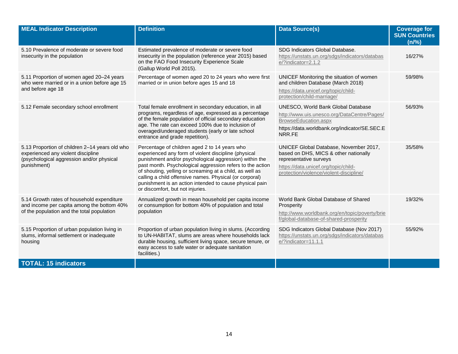| <b>MEAL Indicator Description</b>                                                                                                                | <b>Definition</b>                                                                                                                                                                                                                                                                                                                                                                                                                                  | <b>Data Source(s)</b>                                                                                                                                                                        | <b>Coverage for</b><br><b>SUN Countries</b><br>(n/%) |
|--------------------------------------------------------------------------------------------------------------------------------------------------|----------------------------------------------------------------------------------------------------------------------------------------------------------------------------------------------------------------------------------------------------------------------------------------------------------------------------------------------------------------------------------------------------------------------------------------------------|----------------------------------------------------------------------------------------------------------------------------------------------------------------------------------------------|------------------------------------------------------|
| 5.10 Prevalence of moderate or severe food<br>insecurity in the population                                                                       | Estimated prevalence of moderate or severe food<br>insecurity in the population (reference year 2015) based<br>on the FAO Food Insecurity Experience Scale<br>(Gallup World Poll 2015).                                                                                                                                                                                                                                                            | SDG Indicators Global Database.<br>https://unstats.un.org/sdgs/indicators/databas<br>e/?indicator=2.1.2                                                                                      | 16/27%                                               |
| 5.11 Proportion of women aged 20-24 years<br>who were married or in a union before age 15<br>and before age 18                                   | Percentage of women aged 20 to 24 years who were first<br>married or in union before ages 15 and 18                                                                                                                                                                                                                                                                                                                                                | UNICEF Monitoring the situation of women<br>and children Database (March 2018)<br>https://data.unicef.org/topic/child-<br>protection/child-marriage/                                         | 59/98%                                               |
| 5.12 Female secondary school enrollment                                                                                                          | Total female enrollment in secondary education, in all<br>programs, regardless of age, expressed as a percentage<br>of the female population of official secondary education<br>age. The rate can exceed 100% due to inclusion of<br>overaged/underaged students (early or late school<br>entrance and grade repetition).                                                                                                                          | UNESCO, World Bank Global Database<br>http://www.uis.unesco.org/DataCentre/Pages/<br>BrowseEducation.aspx<br>https://data.worldbank.org/indicator/SE.SEC.E<br>NRR.FE                         | 56/93%                                               |
| 5.13 Proportion of children 2-14 years old who<br>experienced any violent discipline<br>(psychological aggression and/or physical<br>punishment) | Percentage of children aged 2 to 14 years who<br>experienced any form of violent discipline (physical<br>punishment and/or psychological aggression) within the<br>past month. Psychological aggression refers to the action<br>of shouting, yelling or screaming at a child, as well as<br>calling a child offensive names. Physical (or corporal)<br>punishment is an action intended to cause physical pain<br>or discomfort, but not injuries. | UNICEF Global Database, November 2017,<br>based on DHS, MICS & other nationally<br>representative surveys<br>https://data.unicef.org/topic/child-<br>protection/violence/violent-discipline/ | 35/58%                                               |
| 5.14 Growth rates of household expenditure<br>and income per capita among the bottom 40%<br>of the population and the total population           | Annualized growth in mean household per capita income<br>or consumption for bottom 40% of population and total<br>population                                                                                                                                                                                                                                                                                                                       | World Bank Global Database of Shared<br>Prosperity<br>http://www.worldbank.org/en/topic/poverty/brie<br>f/global-database-of-shared-prosperity                                               | 19/32%                                               |
| 5.15 Proportion of urban population living in<br>slums, informal settlement or inadequate<br>housing                                             | Proportion of urban population living in slums. (According<br>to UN-HABITAT, slums are areas where households lack<br>durable housing, sufficient living space, secure tenure, or<br>easy access to safe water or adequate sanitation<br>facilities.)                                                                                                                                                                                              | SDG Indicators Global Database (Nov 2017)<br>https://unstats.un.org/sdgs/indicators/databas<br>e/?indicator=11.1.1                                                                           | 55/92%                                               |
| <b>TOTAL: 15 indicators</b>                                                                                                                      |                                                                                                                                                                                                                                                                                                                                                                                                                                                    |                                                                                                                                                                                              |                                                      |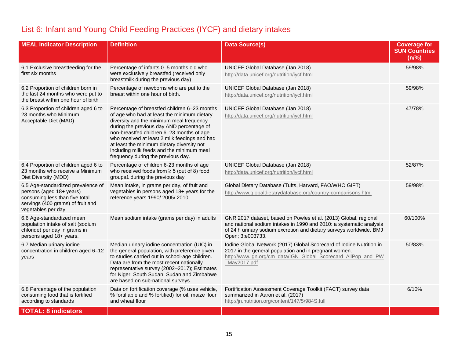## List 6: Infant and Young Child Feeding Practices (IYCF) and dietary intakes

| <b>MEAL Indicator Description</b>                                                                                                                           | <b>Definition</b>                                                                                                                                                                                                                                                                                                                                                                                                   | <b>Data Source(s)</b>                                                                                                                                                                                                              | <b>Coverage for</b><br><b>SUN Countries</b><br>(n/%) |
|-------------------------------------------------------------------------------------------------------------------------------------------------------------|---------------------------------------------------------------------------------------------------------------------------------------------------------------------------------------------------------------------------------------------------------------------------------------------------------------------------------------------------------------------------------------------------------------------|------------------------------------------------------------------------------------------------------------------------------------------------------------------------------------------------------------------------------------|------------------------------------------------------|
| 6.1 Exclusive breastfeeding for the<br>first six months                                                                                                     | Percentage of infants 0-5 months old who<br>were exclusively breastfed (received only<br>breastmilk during the previous day)                                                                                                                                                                                                                                                                                        | UNICEF Global Database (Jan 2018)<br>http://data.unicef.org/nutrition/iycf.html                                                                                                                                                    | 59/98%                                               |
| 6.2 Proportion of children born in<br>the last 24 months who were put to<br>the breast within one hour of birth                                             | Percentage of newborns who are put to the<br>breast within one hour of birth.                                                                                                                                                                                                                                                                                                                                       | UNICEF Global Database (Jan 2018)<br>http://data.unicef.org/nutrition/iycf.html                                                                                                                                                    | 59/98%                                               |
| 6.3 Proportion of children aged 6 to<br>23 months who Minimum<br>Acceptable Diet (MAD)                                                                      | Percentage of breastfed children 6-23 months<br>of age who had at least the minimum dietary<br>diversity and the minimum meal frequency<br>during the previous day AND percentage of<br>non-breastfed children 6-23 months of age<br>who received at least 2 milk feedings and had<br>at least the minimum dietary diversity not<br>including milk feeds and the minimum meal<br>frequency during the previous day. | UNICEF Global Database (Jan 2018)<br>http://data.unicef.org/nutrition/iycf.html                                                                                                                                                    | 47/78%                                               |
| 6.4 Proportion of children aged 6 to<br>23 months who receive a Minimum<br>Diet Diversity (MDD)                                                             | Percentage of children 6-23 months of age<br>who received foods from $\geq 5$ (out of 8) food<br>groups1 during the previous day                                                                                                                                                                                                                                                                                    | UNICEF Global Database (Jan 2018)<br>http://data.unicef.org/nutrition/iycf.html                                                                                                                                                    | 52/87%                                               |
| 6.5 Age-standardized prevalence of<br>persons (aged 18+ years)<br>consuming less than five total<br>servings (400 grams) of fruit and<br>vegetables per day | Mean intake, in grams per day, of fruit and<br>vegetables in persons aged 18+ years for the<br>reference years 1990/ 2005/ 2010                                                                                                                                                                                                                                                                                     | Global Dietary Database (Tufts, Harvard, FAO/WHO GIFT)<br>http://www.globaldietarydatabase.org/country-comparisons.html                                                                                                            | 59/98%                                               |
| 6.6 Age-standardized mean<br>population intake of salt (sodium<br>chloride) per day in grams in<br>persons aged 18+ years.                                  | Mean sodium intake (grams per day) in adults                                                                                                                                                                                                                                                                                                                                                                        | GNR 2017 dataset, based on Powles et al. (2013) Global, regional<br>and national sodium intakes in 1990 and 2010: a systematic analysis<br>of 24 h urinary sodium excretion and dietary surveys worldwide. BMJ<br>Open; 3:e003733. | 60/100%                                              |
| 6.7 Median urinary iodine<br>concentration in children aged 6-12<br>years                                                                                   | Median urinary iodine concentration (UIC) in<br>the general population, with preference given<br>to studies carried out in school-age children.<br>Data are from the most recent nationally<br>representative survey (2002-2017); Estimates<br>for Niger, South Sudan, Sudan and Zimbabwe<br>are based on sub-national surveys.                                                                                     | Iodine Global Network (2017) Global Scorecard of Iodine Nutrition in<br>2017 in the general population and in pregnant women.<br>http://www.ign.org/cm_data/IGN_Global_Scorecard_AllPop_and_PW<br>May2017.pdf                      | 50/83%                                               |
| 6.8 Percentage of the population<br>consuming food that is fortified<br>according to standards                                                              | Data on fortification coverage (% uses vehicle,<br>% fortifiable and % fortified) for oil, maize flour<br>and wheat flour                                                                                                                                                                                                                                                                                           | Fortification Assessment Coverage Toolkit (FACT) survey data<br>summarized in Aaron et al. (2017)<br>http://jn.nutrition.org/content/147/5/984S.full                                                                               | 6/10%                                                |
| <b>TOTAL: 8 indicators</b>                                                                                                                                  |                                                                                                                                                                                                                                                                                                                                                                                                                     |                                                                                                                                                                                                                                    |                                                      |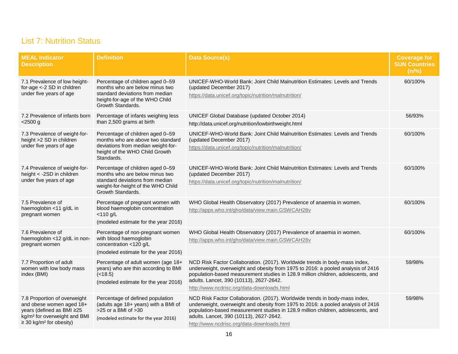#### List 7: Nutrition Status

| <b>MEAL Indicator</b><br><b>Description</b>                                                                                                                                   | <b>Definition</b>                                                                                                                                                | <b>Data Source(s)</b>                                                                                                                                                                                                                                                                                                                        | <b>Coverage for</b><br><b>SUN Countries</b><br>(n/%) |
|-------------------------------------------------------------------------------------------------------------------------------------------------------------------------------|------------------------------------------------------------------------------------------------------------------------------------------------------------------|----------------------------------------------------------------------------------------------------------------------------------------------------------------------------------------------------------------------------------------------------------------------------------------------------------------------------------------------|------------------------------------------------------|
| 7.1 Prevalence of low height-<br>for-age <- 2 SD in children<br>under five years of age                                                                                       | Percentage of children aged 0-59<br>months who are below minus two<br>standard deviations from median<br>height-for-age of the WHO Child<br>Growth Standards.    | UNICEF-WHO-World Bank: Joint Child Malnutrition Estimates: Levels and Trends<br>(updated December 2017)<br>https://data.unicef.org/topic/nutrition/malnutrition/                                                                                                                                                                             | 60/100%                                              |
| 7.2 Prevalence of infants born<br>$<$ 2500 g                                                                                                                                  | Percentage of infants weighing less<br>than 2,500 grams at birth                                                                                                 | UNICEF Global Database (updated October 2014)<br>http://data.unicef.org/nutrition/lowbirthweight.html                                                                                                                                                                                                                                        | 56/93%                                               |
| 7.3 Prevalence of weight-for-<br>height >2 SD in children<br>under five years of age                                                                                          | Percentage of children aged 0-59<br>months who are above two standard<br>deviations from median weight-for-<br>height of the WHO Child Growth<br>Standards.      | UNICEF-WHO-World Bank: Joint Child Malnutrition Estimates: Levels and Trends<br>(updated December 2017)<br>https://data.unicef.org/topic/nutrition/malnutrition/                                                                                                                                                                             | 60/100%                                              |
| 7.4 Prevalence of weight-for-<br>height < - 2SD in children<br>under five years of age                                                                                        | Percentage of children aged 0-59<br>months who are below minus two<br>standard deviations from median<br>weight-for-height of the WHO Child<br>Growth Standards. | UNICEF-WHO-World Bank: Joint Child Malnutrition Estimates: Levels and Trends<br>(updated December 2017)<br>https://data.unicef.org/topic/nutrition/malnutrition/                                                                                                                                                                             | 60/100%                                              |
| 7.5 Prevalence of<br>haemoglobin <11 g/dL in<br>pregnant women                                                                                                                | Percentage of pregnant women with<br>blood haemoglobin concentration<br>$<$ 110 g/L<br>(modeled estimate for the year 2016)                                      | WHO Global Health Observatory (2017) Prevalence of anaemia in women.<br>http://apps.who.int/gho/data/view.main.GSWCAH28v                                                                                                                                                                                                                     | 60/100%                                              |
| 7.6 Prevalence of<br>haemoglobin <12 g/dL in non-<br>pregnant women                                                                                                           | Percentage of non-pregnant women<br>with blood haemoglobin<br>concentration <120 g/L<br>(modeled estimate for the year 2016)                                     | WHO Global Health Observatory (2017) Prevalence of anaemia in women.<br>http://apps.who.int/gho/data/view.main.GSWCAH28v                                                                                                                                                                                                                     | 60/100%                                              |
| 7.7 Proportion of adult<br>women with low body mass<br>index (BMI)                                                                                                            | Percentage of adult women (age 18+<br>years) who are thin according to BMI<br>(<18.5)<br>(modeled estimate for the year 2016)                                    | NCD Risk Factor Collaboration. (2017). Worldwide trends in body-mass index,<br>underweight, overweight and obesity from 1975 to 2016: a pooled analysis of 2416<br>population-based measurement studies in 128.9 million children, adolescents, and<br>adults. Lancet, 390 (10113), 2627-2642.<br>http://www.ncdrisc.org/data-downloads.html | 59/98%                                               |
| 7.8 Proportion of overweight<br>and obese women aged 18+<br>years (defined as BMI ≥25<br>kg/m <sup>2</sup> for overweight and BMI<br>$\geq$ 30 kg/m <sup>2</sup> for obesity) | Percentage of defined population<br>(adults age 18+ years) with a BMI of<br>>25 or a BMI of >30<br>(modeled estimate for the year 2016)                          | NCD Risk Factor Collaboration. (2017). Worldwide trends in body-mass index,<br>underweight, overweight and obesity from 1975 to 2016: a pooled analysis of 2416<br>population-based measurement studies in 128.9 million children, adolescents, and<br>adults. Lancet, 390 (10113), 2627-2642.<br>http://www.ncdrisc.org/data-downloads.html | 59/98%                                               |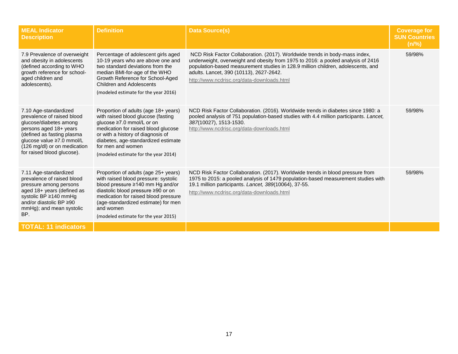| <b>MEAL Indicator</b><br><b>Description</b>                                                                                                                                                                                      | <b>Definition</b>                                                                                                                                                                                                                                                                          | <b>Data Source(s)</b>                                                                                                                                                                                                                                                                                                                        | <b>Coverage for</b><br><b>SUN Countries</b><br>(n/%) |
|----------------------------------------------------------------------------------------------------------------------------------------------------------------------------------------------------------------------------------|--------------------------------------------------------------------------------------------------------------------------------------------------------------------------------------------------------------------------------------------------------------------------------------------|----------------------------------------------------------------------------------------------------------------------------------------------------------------------------------------------------------------------------------------------------------------------------------------------------------------------------------------------|------------------------------------------------------|
| 7.9 Prevalence of overweight<br>and obesity in adolescents<br>(defined according to WHO)<br>growth reference for school-<br>aged children and<br>adolescents).                                                                   | Percentage of adolescent girls aged<br>10-19 years who are above one and<br>two standard deviations from the<br>median BMI-for-age of the WHO<br>Growth Reference for School-Aged<br>Children and Adolescents<br>(modeled estimate for the year 2016)                                      | NCD Risk Factor Collaboration. (2017). Worldwide trends in body-mass index,<br>underweight, overweight and obesity from 1975 to 2016: a pooled analysis of 2416<br>population-based measurement studies in 128.9 million children, adolescents, and<br>adults. Lancet, 390 (10113), 2627-2642.<br>http://www.ncdrisc.org/data-downloads.html | 59/98%                                               |
| 7.10 Age-standardized<br>prevalence of raised blood<br>glucose/diabetes among<br>persons aged 18+ years<br>(defined as fasting plasma<br>glucose value ≥7.0 mmol/L<br>(126 mg/dl) or on medication<br>for raised blood glucose). | Proportion of adults (age 18+ years)<br>with raised blood glucose (fasting<br>glucose ≥7.0 mmol/L or on<br>medication for raised blood glucose<br>or with a history of diagnosis of<br>diabetes, age-standardized estimate<br>for men and women<br>(modeled estimate for the year 2014)    | NCD Risk Factor Collaboration. (2016). Worldwide trends in diabetes since 1980: a<br>pooled analysis of 751 population-based studies with 4.4 million participants. Lancet,<br>387(10027), 1513-1530.<br>http://www.ncdrisc.org/data-downloads.html                                                                                          | 59/98%                                               |
| 7.11 Age-standardized<br>prevalence of raised blood<br>pressure among persons<br>aged 18+ years (defined as<br>systolic BP ≥140 mmHg<br>and/or diastolic BP ≥90<br>mmHg); and mean systolic<br>BP.                               | Proportion of adults (age 25+ years)<br>with raised blood pressure: systolic<br>blood pressure ≥140 mm Hg and/or<br>diastolic blood pressure ≥90 or on<br>medication for raised blood pressure<br>(age-standardized estimate) for men<br>and women<br>(modeled estimate for the year 2015) | NCD Risk Factor Collaboration. (2017). Worldwide trends in blood pressure from<br>1975 to 2015: a pooled analysis of 1479 population-based measurement studies with<br>19.1 million participants. Lancet, 389(10064), 37-55.<br>http://www.ncdrisc.org/data-downloads.html                                                                   | 59/98%                                               |
| <b>TOTAL: 11 indicators</b>                                                                                                                                                                                                      |                                                                                                                                                                                                                                                                                            |                                                                                                                                                                                                                                                                                                                                              |                                                      |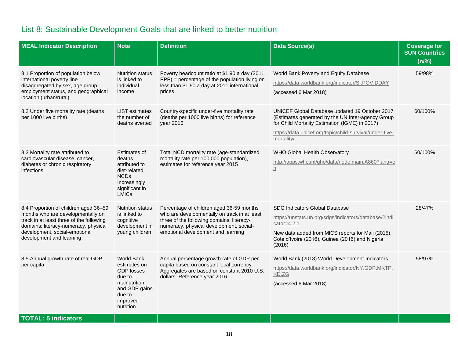# List 8: Sustainable Development Goals that are linked to better nutrition

| <b>MEAL Indicator Description</b>                                                                                                                                                                                           | <b>Note</b>                                                                                                                          | <b>Definition</b>                                                                                                                                                                                                      | <b>Data Source(s)</b>                                                                                                                                                                                                           | <b>Coverage for</b><br><b>SUN Countries</b><br>(n/%) |
|-----------------------------------------------------------------------------------------------------------------------------------------------------------------------------------------------------------------------------|--------------------------------------------------------------------------------------------------------------------------------------|------------------------------------------------------------------------------------------------------------------------------------------------------------------------------------------------------------------------|---------------------------------------------------------------------------------------------------------------------------------------------------------------------------------------------------------------------------------|------------------------------------------------------|
| 8.1 Proportion of population below<br>international poverty line<br>disaggregated by sex, age group,<br>employment status, and geographical<br>location (urban/rural)                                                       | <b>Nutrition status</b><br>is linked to<br>individual<br>income                                                                      | Poverty headcount ratio at \$1.90 a day (2011<br>$PPP$ ) = percentage of the population living on<br>less than \$1.90 a day at 2011 international<br>prices                                                            | World Bank Poverty and Equity Database<br>https://data.worldbank.org/indicator/SI.POV.DDAY<br>(accessed 6 Mar 2018)                                                                                                             | 59/98%                                               |
| 8.2 Under five mortality rate (deaths<br>per 1000 live births)                                                                                                                                                              | LiST estimates<br>the number of<br>deaths averted                                                                                    | Country-specific under-five mortality rate<br>(deaths per 1000 live births) for reference<br>year 2016                                                                                                                 | UNICEF Global Database updated 19 October 2017<br>(Estimates generated by the UN Inter-agency Group<br>for Child Mortality Estimation (IGME) in 2017)<br>https://data.unicef.org/topic/child-survival/under-five-<br>mortality/ | 60/100%                                              |
| 8.3 Mortality rate attributed to<br>cardiovascular disease, cancer,<br>diabetes or chronic respiratory<br>infections                                                                                                        | Estimates of<br>deaths<br>attributed to<br>diet-related<br>NCD <sub>s</sub> .<br>Increasingly<br>significant in<br><b>LMICs</b>      | Total NCD mortality rate (age-standardized<br>mortality rate per 100,000 population),<br>estimates for reference year 2015                                                                                             | WHO Global Health Observatory<br>http://apps.who.int/gho/data/node.main.A860?lang=e<br>$\underline{\underline{n}}$                                                                                                              | 60/100%                                              |
| 8.4 Proportion of children aged 36-59<br>months who are developmentally on<br>track in at least three of the following<br>domains: literacy-numeracy, physical<br>development, social-emotional<br>development and learning | <b>Nutrition status</b><br>is linked to<br>cognitive<br>development in<br>young children                                             | Percentage of children aged 36-59 months<br>who are developmentally on track in at least<br>three of the following domains: literacy-<br>numeracy, physical development, social-<br>emotional development and learning | SDG Indicators Global Database<br>https://unstats.un.org/sdgs/indicators/database/?indi<br>$cator=4.2.1$<br>New data added from MICS reports for Mali (2015),<br>Cote d'Ivoire (2016), Guinea (2016) and Nigeria<br>(2016)      | 28/47%                                               |
| 8.5 Annual growth rate of real GDP<br>per capita                                                                                                                                                                            | <b>World Bank</b><br>estimates on<br><b>GDP</b> losses<br>due to<br>malnutrition<br>and GDP gains<br>due to<br>improved<br>nutrition | Annual percentage growth rate of GDP per<br>capita based on constant local currency.<br>Aggregates are based on constant 2010 U.S.<br>dollars. Reference year 2016                                                     | World Bank (2018) World Development Indicators<br>https://data.worldbank.org/indicator/NY.GDP.MKTP.<br>KD.ZG<br>(accessed 6 Mar 2018)                                                                                           | 58/97%                                               |
| <b>TOTAL: 5 indicators</b>                                                                                                                                                                                                  |                                                                                                                                      |                                                                                                                                                                                                                        |                                                                                                                                                                                                                                 |                                                      |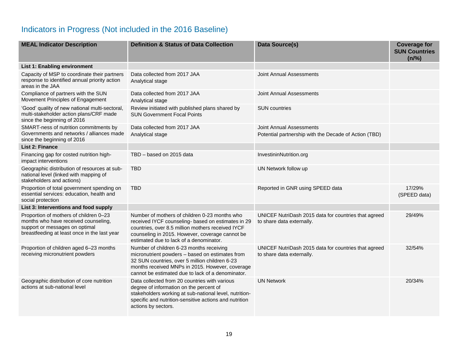## Indicators in Progress (Not included in the 2016 Baseline)

| <b>MEAL Indicator Description</b>                                                                                                                                | <b>Definition &amp; Status of Data Collection</b>                                                                                                                                                                                                      | Data Source(s)                                                                    | <b>Coverage for</b><br><b>SUN Countries</b><br>(n/%) |
|------------------------------------------------------------------------------------------------------------------------------------------------------------------|--------------------------------------------------------------------------------------------------------------------------------------------------------------------------------------------------------------------------------------------------------|-----------------------------------------------------------------------------------|------------------------------------------------------|
| List 1: Enabling environment                                                                                                                                     |                                                                                                                                                                                                                                                        |                                                                                   |                                                      |
| Capacity of MSP to coordinate their partners<br>response to identified annual priority action<br>areas in the JAA                                                | Data collected from 2017 JAA<br>Analytical stage                                                                                                                                                                                                       | Joint Annual Assessments                                                          |                                                      |
| Compliance of partners with the SUN<br>Movement Principles of Engagement                                                                                         | Data collected from 2017 JAA<br>Analytical stage                                                                                                                                                                                                       | Joint Annual Assessments                                                          |                                                      |
| 'Good' quality of new national multi-sectoral,<br>multi-stakeholder action plans/CRF made<br>since the beginning of 2016                                         | Review initiated with published plans shared by<br><b>SUN Government Focal Points</b>                                                                                                                                                                  | <b>SUN</b> countries                                                              |                                                      |
| SMART-ness of nutrition commitments by<br>Governments and networks / alliances made<br>since the beginning of 2016                                               | Data collected from 2017 JAA<br>Analytical stage                                                                                                                                                                                                       | Joint Annual Assessments<br>Potential partnership with the Decade of Action (TBD) |                                                      |
| <b>List 2: Finance</b>                                                                                                                                           |                                                                                                                                                                                                                                                        |                                                                                   |                                                      |
| Financing gap for costed nutrition high-<br>impact interventions                                                                                                 | TBD - based on 2015 data                                                                                                                                                                                                                               | InvestininNutrition.org                                                           |                                                      |
| Geographic distribution of resources at sub-<br>national level (linked with mapping of<br>stakeholders and actions)                                              | <b>TBD</b>                                                                                                                                                                                                                                             | UN Network follow up                                                              |                                                      |
| Proportion of total government spending on<br>essential services: education, health and<br>social protection                                                     | <b>TBD</b>                                                                                                                                                                                                                                             | Reported in GNR using SPEED data                                                  | 17/29%<br>(SPEED data)                               |
| List 3: Interventions and food supply                                                                                                                            |                                                                                                                                                                                                                                                        |                                                                                   |                                                      |
| Proportion of mothers of children 0-23<br>months who have received counseling,<br>support or messages on optimal<br>breastfeeding at least once in the last year | Number of mothers of children 0-23 months who<br>received IYCF counseling- based on estimates in 29<br>countries, over 8.5 million mothers received IYCF<br>counseling in 2015. However, coverage cannot be<br>estimated due to lack of a denominator. | UNICEF NutriDash 2015 data for countries that agreed<br>to share data externally. | 29/49%                                               |
| Proportion of children aged 6-23 months<br>receiving micronutrient powders                                                                                       | Number of children 6-23 months receiving<br>micronutrient powders - based on estimates from<br>32 SUN countries, over 5 million children 6-23<br>months received MNPs in 2015. However, coverage<br>cannot be estimated due to lack of a denominator.  | UNICEF NutriDash 2015 data for countries that agreed<br>to share data externally. | 32/54%                                               |
| Geographic distribution of core nutrition<br>actions at sub-national level                                                                                       | Data collected from 20 countries with various<br>degree of information on the percent of<br>stakeholders working at sub-national level, nutrition-<br>specific and nutrition-sensitive actions and nutrition<br>actions by sectors.                    | <b>UN Network</b>                                                                 | 20/34%                                               |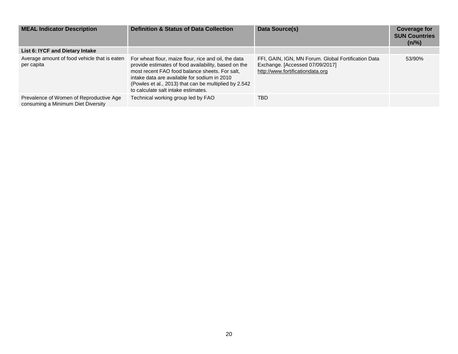| <b>MEAL Indicator Description</b>                                             | <b>Definition &amp; Status of Data Collection</b>                                                                                                                                                                                                                                                              | Data Source(s)                                                                                                             | <b>Coverage for</b><br><b>SUN Countries</b><br>(n/%) |
|-------------------------------------------------------------------------------|----------------------------------------------------------------------------------------------------------------------------------------------------------------------------------------------------------------------------------------------------------------------------------------------------------------|----------------------------------------------------------------------------------------------------------------------------|------------------------------------------------------|
| List 6: IYCF and Dietary Intake                                               |                                                                                                                                                                                                                                                                                                                |                                                                                                                            |                                                      |
| Average amount of food vehicle that is eaten<br>per capita                    | For wheat flour, maize flour, rice and oil, the data<br>provide estimates of food availability, based on the<br>most recent FAO food balance sheets. For salt,<br>intake data are available for sodium in 2010<br>(Powles et al., 2013) that can be multiplied by 2.542<br>to calculate salt intake estimates. | FFI, GAIN, IGN, MN Forum. Global Fortification Data<br>Exchange. [Accessed 07/09/2017]<br>http://www.fortificationdata.org | 53/90%                                               |
| Prevalence of Women of Reproductive Age<br>consuming a Minimum Diet Diversity | Technical working group led by FAO                                                                                                                                                                                                                                                                             | TBD                                                                                                                        |                                                      |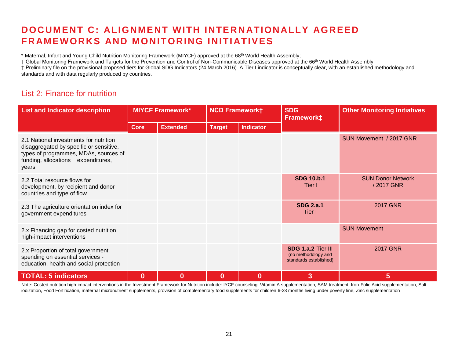## **DOCUMENT C: ALIGNMENT WITH INTER N ATION ALLY AGREED FRAMEWORKS AND MONITORING INITIATIVES**

\* Maternal, Infant and Young Child Nutrition Monitoring Framework (MIYCF) approved at the 68<sup>th</sup> World Health Assembly;

† Global Monitoring Framework and Targets for the Prevention and Control of Non-Communicable Diseases approved at the 66th World Health Assembly;

‡ Preliminary file on the provisional proposed tiers for Global SDG Indicators (24 March 2016). A Tier I indicator is conceptually clear, with an established methodology and standards and with data regularly produced by countries.

#### List 2: Finance for nutrition

| <b>List and Indicator description</b>                                                                                                                                     |             | <b>MIYCF Framework*</b><br><b>NCD Frameworkt</b> |               | <b>SDG</b><br>Framework‡ | <b>Other Monitoring Initiatives</b>                                 |                                       |
|---------------------------------------------------------------------------------------------------------------------------------------------------------------------------|-------------|--------------------------------------------------|---------------|--------------------------|---------------------------------------------------------------------|---------------------------------------|
|                                                                                                                                                                           | <b>Core</b> | <b>Extended</b>                                  | <b>Target</b> | <b>Indicator</b>         |                                                                     |                                       |
| 2.1 National investments for nutrition<br>disaggregated by specific or sensitive,<br>types of programmes, MDAs, sources of<br>funding, allocations expenditures,<br>years |             |                                                  |               |                          |                                                                     | SUN Movement / 2017 GNR               |
| 2.2 Total resource flows for<br>development, by recipient and donor<br>countries and type of flow                                                                         |             |                                                  |               |                          | <b>SDG 10.b.1</b><br>Tier I                                         | <b>SUN Donor Network</b><br>/2017 GNR |
| 2.3 The agriculture orientation index for<br>government expenditures                                                                                                      |             |                                                  |               |                          | <b>SDG 2.a.1</b><br>Tier I                                          | <b>2017 GNR</b>                       |
| 2.x Financing gap for costed nutrition<br>high-impact interventions                                                                                                       |             |                                                  |               |                          |                                                                     | <b>SUN Movement</b>                   |
| 2.x Proportion of total government<br>spending on essential services -<br>education, health and social protection                                                         |             |                                                  |               |                          | SDG 1.a.2 Tier III<br>(no methodology and<br>standards established) | <b>2017 GNR</b>                       |
| <b>TOTAL: 5 indicators</b>                                                                                                                                                | $\bf{0}$    | $\bf{0}$                                         | $\bf{0}$      | $\bf{0}$                 | 3                                                                   | 5                                     |

Note: Costed nutrition high-impact interventions in the Investment Framework for Nutrition include: IYCF counseling, Vitamin A supplementation, SAM treatment, Iron-Folic Acid supplementation, Salt iodization, Food Fortification, maternal micronutrient supplements, provision of complementary food supplements for children 6-23 months living under poverty line, Zinc supplementation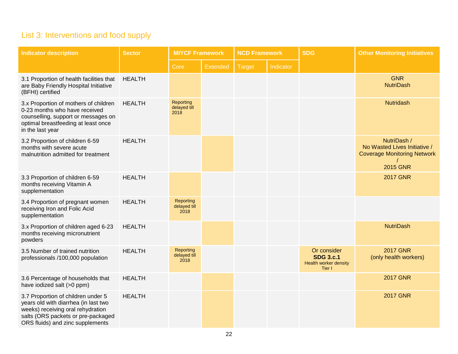## List 3: Interventions and food supply

| <b>Indicator description</b>                                                                                                                                                              | <b>Sector</b> |                                          | <b>MIYCF Framework</b><br><b>NCD Framework</b> |        | <b>SDG</b> | <b>Other Monitoring Initiatives</b>                                |                                                                                                      |
|-------------------------------------------------------------------------------------------------------------------------------------------------------------------------------------------|---------------|------------------------------------------|------------------------------------------------|--------|------------|--------------------------------------------------------------------|------------------------------------------------------------------------------------------------------|
|                                                                                                                                                                                           |               | Core                                     | <b>Extended</b>                                | Target | Indicator  |                                                                    |                                                                                                      |
| 3.1 Proportion of health facilities that<br>are Baby Friendly Hospital Initiative<br>(BFHI) certified                                                                                     | <b>HEALTH</b> |                                          |                                                |        |            |                                                                    | <b>GNR</b><br><b>NutriDash</b>                                                                       |
| 3.x Proportion of mothers of children<br>0-23 months who have received<br>counselling, support or messages on<br>optimal breastfeeding at least once<br>in the last year                  | <b>HEALTH</b> | <b>Reporting</b><br>delayed till<br>2018 |                                                |        |            |                                                                    | <b>Nutridash</b>                                                                                     |
| 3.2 Proportion of children 6-59<br>months with severe acute<br>malnutrition admitted for treatment                                                                                        | <b>HEALTH</b> |                                          |                                                |        |            |                                                                    | NutriDash /<br>No Wasted Lives Initiative /<br><b>Coverage Monitoring Network</b><br><b>2015 GNR</b> |
| 3.3 Proportion of children 6-59<br>months receiving Vitamin A<br>supplementation                                                                                                          | <b>HEALTH</b> |                                          |                                                |        |            |                                                                    | <b>2017 GNR</b>                                                                                      |
| 3.4 Proportion of pregnant women<br>receiving Iron and Folic Acid<br>supplementation                                                                                                      | <b>HEALTH</b> | Reporting<br>delayed till<br>2018        |                                                |        |            |                                                                    |                                                                                                      |
| 3.x Proportion of children aged 6-23<br>months receiving micronutrient<br>powders                                                                                                         | <b>HEALTH</b> |                                          |                                                |        |            |                                                                    | <b>NutriDash</b>                                                                                     |
| 3.5 Number of trained nutrition<br>professionals /100,000 population                                                                                                                      | <b>HEALTH</b> | Reporting<br>delayed till<br>2018        |                                                |        |            | Or consider<br><b>SDG 3.c.1</b><br>Health worker density<br>Tier I | <b>2017 GNR</b><br>(only health workers)                                                             |
| 3.6 Percentage of households that<br>have iodized salt (>0 ppm)                                                                                                                           | <b>HEALTH</b> |                                          |                                                |        |            |                                                                    | <b>2017 GNR</b>                                                                                      |
| 3.7 Proportion of children under 5<br>years old with diarrhea (in last two<br>weeks) receiving oral rehydration<br>salts (ORS packets or pre-packaged<br>ORS fluids) and zinc supplements | <b>HEALTH</b> |                                          |                                                |        |            |                                                                    | <b>2017 GNR</b>                                                                                      |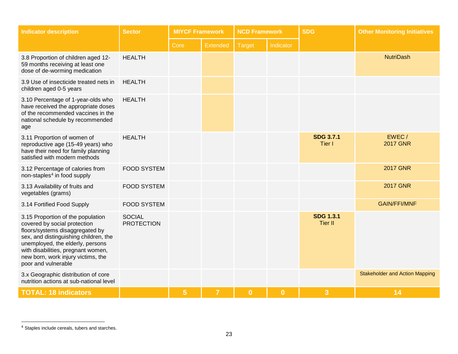| <b>Indicator description</b>                                                                                                                                                                                                                                                         | <b>Sector</b>                      | <b>MIYCF Framework</b><br><b>NCD Framework</b> |                 | <b>SDG</b>    |           | <b>Other Monitoring Initiatives</b> |                                       |
|--------------------------------------------------------------------------------------------------------------------------------------------------------------------------------------------------------------------------------------------------------------------------------------|------------------------------------|------------------------------------------------|-----------------|---------------|-----------|-------------------------------------|---------------------------------------|
|                                                                                                                                                                                                                                                                                      |                                    | Core                                           | <b>Extended</b> | <b>Target</b> | Indicator |                                     |                                       |
| 3.8 Proportion of children aged 12-<br>59 months receiving at least one<br>dose of de-worming medication                                                                                                                                                                             | <b>HEALTH</b>                      |                                                |                 |               |           |                                     | <b>NutriDash</b>                      |
| 3.9 Use of insecticide treated nets in<br>children aged 0-5 years                                                                                                                                                                                                                    | <b>HEALTH</b>                      |                                                |                 |               |           |                                     |                                       |
| 3.10 Percentage of 1-year-olds who<br>have received the appropriate doses<br>of the recommended vaccines in the<br>national schedule by recommended<br>age                                                                                                                           | <b>HEALTH</b>                      |                                                |                 |               |           |                                     |                                       |
| 3.11 Proportion of women of<br>reproductive age (15-49 years) who<br>have their need for family planning<br>satisfied with modern methods                                                                                                                                            | <b>HEALTH</b>                      |                                                |                 |               |           | <b>SDG 3.7.1</b><br>Tier I          | EWEC/<br><b>2017 GNR</b>              |
| 3.12 Percentage of calories from<br>non-staples <sup>4</sup> in food supply                                                                                                                                                                                                          | <b>FOOD SYSTEM</b>                 |                                                |                 |               |           |                                     | <b>2017 GNR</b>                       |
| 3.13 Availability of fruits and<br>vegetables (grams)                                                                                                                                                                                                                                | <b>FOOD SYSTEM</b>                 |                                                |                 |               |           |                                     | <b>2017 GNR</b>                       |
| 3.14 Fortified Food Supply                                                                                                                                                                                                                                                           | <b>FOOD SYSTEM</b>                 |                                                |                 |               |           |                                     | <b>GAIN/FFI/MNF</b>                   |
| 3.15 Proportion of the population<br>covered by social protection<br>floors/systems disaggregated by<br>sex, and distinguishing children, the<br>unemployed, the elderly, persons<br>with disabilities, pregnant women,<br>new born, work injury victims, the<br>poor and vulnerable | <b>SOCIAL</b><br><b>PROTECTION</b> |                                                |                 |               |           | <b>SDG 1.3.1</b><br><b>Tier II</b>  |                                       |
| 3.x Geographic distribution of core<br>nutrition actions at sub-national level                                                                                                                                                                                                       |                                    |                                                |                 |               |           |                                     | <b>Stakeholder and Action Mapping</b> |
| <b>TOTAL: 18 indicators</b>                                                                                                                                                                                                                                                          |                                    | $\overline{5}$                                 | $\overline{7}$  | $\bf{0}$      | $\bf{0}$  | 3                                   | 14                                    |

<sup>&</sup>lt;sup>4</sup> Staples include cereals, tubers and starches.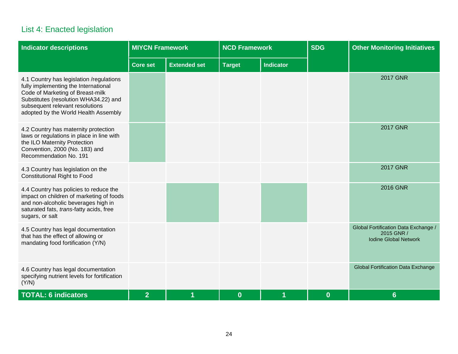## List 4: Enacted legislation

| <b>Indicator descriptions</b>                                                                                                                                                                                                            | <b>MIYCN Framework</b> |                     | <b>NCD Framework</b> |                  | <b>SDG</b> | <b>Other Monitoring Initiatives</b>                                                |
|------------------------------------------------------------------------------------------------------------------------------------------------------------------------------------------------------------------------------------------|------------------------|---------------------|----------------------|------------------|------------|------------------------------------------------------------------------------------|
|                                                                                                                                                                                                                                          | <b>Core set</b>        | <b>Extended set</b> | <b>Target</b>        | <b>Indicator</b> |            |                                                                                    |
| 4.1 Country has legislation /regulations<br>fully implementing the International<br>Code of Marketing of Breast-milk<br>Substitutes (resolution WHA34.22) and<br>subsequent relevant resolutions<br>adopted by the World Health Assembly |                        |                     |                      |                  |            | <b>2017 GNR</b>                                                                    |
| 4.2 Country has maternity protection<br>laws or regulations in place in line with<br>the ILO Maternity Protection<br>Convention, 2000 (No. 183) and<br>Recommendation No. 191                                                            |                        |                     |                      |                  |            | <b>2017 GNR</b>                                                                    |
| 4.3 Country has legislation on the<br><b>Constitutional Right to Food</b>                                                                                                                                                                |                        |                     |                      |                  |            | <b>2017 GNR</b>                                                                    |
| 4.4 Country has policies to reduce the<br>impact on children of marketing of foods<br>and non-alcoholic beverages high in<br>saturated fats, trans-fatty acids, free<br>sugars, or salt                                                  |                        |                     |                      |                  |            | <b>2016 GNR</b>                                                                    |
| 4.5 Country has legal documentation<br>that has the effect of allowing or<br>mandating food fortification (Y/N)                                                                                                                          |                        |                     |                      |                  |            | Global Fortification Data Exchange /<br>2015 GNR /<br><b>Iodine Global Network</b> |
| 4.6 Country has legal documentation<br>specifying nutrient levels for fortification<br>(Y/N)                                                                                                                                             |                        |                     |                      |                  |            | <b>Global Fortification Data Exchange</b>                                          |
| <b>TOTAL: 6 indicators</b>                                                                                                                                                                                                               | $\overline{2}$         | 1                   | $\bf{0}$             | 1                | $\bf{0}$   | $6 \overline{6}$                                                                   |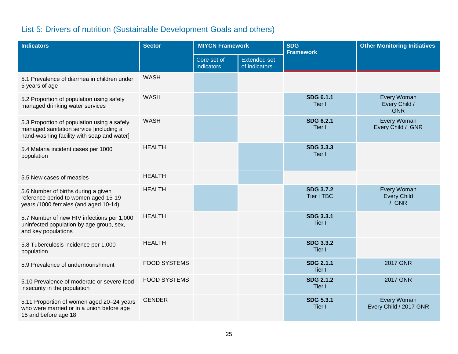# List 5: Drivers of nutrition (Sustainable Development Goals and others)

| <b>Indicators</b>                                                                                                                    | <b>Sector</b><br><b>MIYCN Framework</b> |                                  |                                      | <b>SDG</b><br><b>Framework</b>        | <b>Other Monitoring Initiatives</b>        |
|--------------------------------------------------------------------------------------------------------------------------------------|-----------------------------------------|----------------------------------|--------------------------------------|---------------------------------------|--------------------------------------------|
|                                                                                                                                      |                                         | Core set of<br><b>indicators</b> | <b>Extended set</b><br>of indicators |                                       |                                            |
| 5.1 Prevalence of diarrhea in children under<br>5 years of age                                                                       | <b>WASH</b>                             |                                  |                                      |                                       |                                            |
| 5.2 Proportion of population using safely<br>managed drinking water services                                                         | <b>WASH</b>                             |                                  |                                      | <b>SDG 6.1.1</b><br>Tier I            | Every Woman<br>Every Child /<br><b>GNR</b> |
| 5.3 Proportion of population using a safely<br>managed sanitation service [including a<br>hand-washing facility with soap and water] | <b>WASH</b>                             |                                  |                                      | <b>SDG 6.2.1</b><br>Tier I            | Every Woman<br>Every Child / GNR           |
| 5.4 Malaria incident cases per 1000<br>population                                                                                    | <b>HEALTH</b>                           |                                  |                                      | <b>SDG 3.3.3</b><br>Tier I            |                                            |
| 5.5 New cases of measles                                                                                                             | <b>HEALTH</b>                           |                                  |                                      |                                       |                                            |
| 5.6 Number of births during a given<br>reference period to women aged 15-19<br>years /1000 females (and aged 10-14)                  | <b>HEALTH</b>                           |                                  |                                      | <b>SDG 3.7.2</b><br><b>Tier I TBC</b> | Every Woman<br><b>Every Child</b><br>/ GNR |
| 5.7 Number of new HIV infections per 1,000<br>uninfected population by age group, sex,<br>and key populations                        | <b>HEALTH</b>                           |                                  |                                      | <b>SDG 3.3.1</b><br>Tier I            |                                            |
| 5.8 Tuberculosis incidence per 1,000<br>population                                                                                   | <b>HEALTH</b>                           |                                  |                                      | <b>SDG 3.3.2</b><br>Tier I            |                                            |
| 5.9 Prevalence of undernourishment                                                                                                   | <b>FOOD SYSTEMS</b>                     |                                  |                                      | <b>SDG 2.1.1</b><br>Tier I            | <b>2017 GNR</b>                            |
| 5.10 Prevalence of moderate or severe food<br>insecurity in the population                                                           | <b>FOOD SYSTEMS</b>                     |                                  |                                      | <b>SDG 2.1.2</b><br>Tier I            | <b>2017 GNR</b>                            |
| 5.11 Proportion of women aged 20-24 years<br>who were married or in a union before age<br>15 and before age 18                       | <b>GENDER</b>                           |                                  |                                      | <b>SDG 5.3.1</b><br>Tier I            | Every Woman<br>Every Child / 2017 GNR      |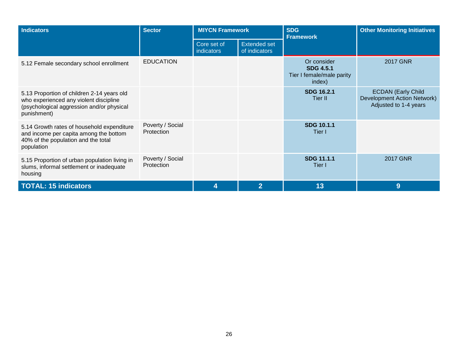| <b>Indicators</b>                                                                                                                                | <b>Sector</b>                  | <b>MIYCN Framework</b>    |                                      | <b>SDG</b><br><b>Framework</b>                                         | <b>Other Monitoring Initiatives</b>                                               |
|--------------------------------------------------------------------------------------------------------------------------------------------------|--------------------------------|---------------------------|--------------------------------------|------------------------------------------------------------------------|-----------------------------------------------------------------------------------|
|                                                                                                                                                  |                                | Core set of<br>indicators | <b>Extended set</b><br>of indicators |                                                                        |                                                                                   |
| 5.12 Female secondary school enrollment                                                                                                          | <b>EDUCATION</b>               |                           |                                      | Or consider<br><b>SDG 4.5.1</b><br>Tier I female/male parity<br>index) | <b>2017 GNR</b>                                                                   |
| 5.13 Proportion of children 2-14 years old<br>who experienced any violent discipline<br>(psychological aggression and/or physical<br>punishment) |                                |                           |                                      | <b>SDG 16.2.1</b><br>Tier II                                           | <b>ECDAN (Early Child</b><br>Development Action Network)<br>Adjusted to 1-4 years |
| 5.14 Growth rates of household expenditure<br>and income per capita among the bottom<br>40% of the population and the total<br>population        | Poverty / Social<br>Protection |                           |                                      | <b>SDG 10.1.1</b><br>Tier I                                            |                                                                                   |
| 5.15 Proportion of urban population living in<br>slums, informal settlement or inadequate<br>housing                                             | Poverty / Social<br>Protection |                           |                                      | <b>SDG 11.1.1</b><br>Tier I                                            | <b>2017 GNR</b>                                                                   |
| <b>TOTAL: 15 indicators</b>                                                                                                                      |                                |                           | $\overline{2}$                       | 13                                                                     | 9                                                                                 |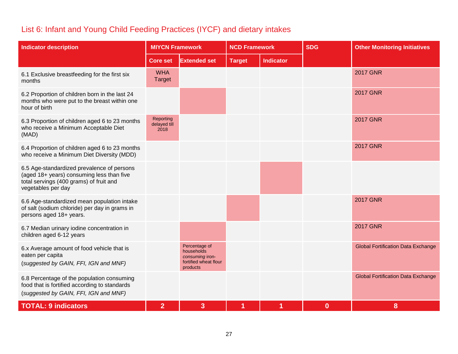## List 6: Infant and Young Child Feeding Practices (IYCF) and dietary intakes

| <b>Indicator description</b>                                                                                                                             | <b>MIYCN Framework</b>            |                                                                                     | <b>NCD Framework</b> |                  | <b>SDG</b> | <b>Other Monitoring Initiatives</b>       |
|----------------------------------------------------------------------------------------------------------------------------------------------------------|-----------------------------------|-------------------------------------------------------------------------------------|----------------------|------------------|------------|-------------------------------------------|
|                                                                                                                                                          | <b>Core set</b>                   | <b>Extended set</b>                                                                 | <b>Target</b>        | <b>Indicator</b> |            |                                           |
| 6.1 Exclusive breastfeeding for the first six<br>months                                                                                                  | <b>WHA</b><br><b>Target</b>       |                                                                                     |                      |                  |            | <b>2017 GNR</b>                           |
| 6.2 Proportion of children born in the last 24<br>months who were put to the breast within one<br>hour of birth                                          |                                   |                                                                                     |                      |                  |            | <b>2017 GNR</b>                           |
| 6.3 Proportion of children aged 6 to 23 months<br>who receive a Minimum Acceptable Diet<br>(MAD)                                                         | Reporting<br>delayed till<br>2018 |                                                                                     |                      |                  |            | <b>2017 GNR</b>                           |
| 6.4 Proportion of children aged 6 to 23 months<br>who receive a Minimum Diet Diversity (MDD)                                                             |                                   |                                                                                     |                      |                  |            | <b>2017 GNR</b>                           |
| 6.5 Age-standardized prevalence of persons<br>(aged 18+ years) consuming less than five<br>total servings (400 grams) of fruit and<br>vegetables per day |                                   |                                                                                     |                      |                  |            |                                           |
| 6.6 Age-standardized mean population intake<br>of salt (sodium chloride) per day in grams in<br>persons aged 18+ years.                                  |                                   |                                                                                     |                      |                  |            | <b>2017 GNR</b>                           |
| 6.7 Median urinary iodine concentration in<br>children aged 6-12 years                                                                                   |                                   |                                                                                     |                      |                  |            | <b>2017 GNR</b>                           |
| 6.x Average amount of food vehicle that is<br>eaten per capita<br>(suggested by GAIN, FFI, IGN and MNF)                                                  |                                   | Percentage of<br>households<br>consuming iron-<br>fortified wheat flour<br>products |                      |                  |            | <b>Global Fortification Data Exchange</b> |
| 6.8 Percentage of the population consuming<br>food that is fortified according to standards<br>(suggested by GAIN, FFI, IGN and MNF)                     |                                   |                                                                                     |                      |                  |            | <b>Global Fortification Data Exchange</b> |
| <b>TOTAL: 9 indicators</b>                                                                                                                               | $\overline{2}$                    | 3                                                                                   | 1                    |                  | $\bf{0}$   | 8                                         |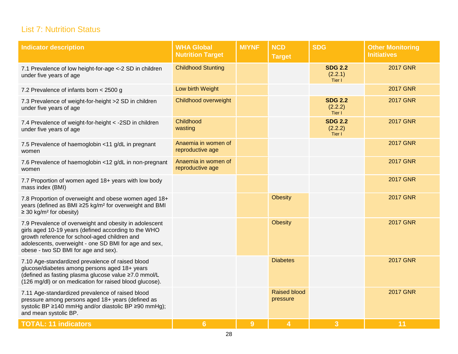## List 7: Nutrition Status

| <b>Indicator description</b>                                                                                                                                                                                                                                     | <b>WHA Global</b><br><b>Nutrition Target</b> | <b>MIYNF</b> | <b>NCD</b><br><b>Target</b>     | <b>SDG</b>                          | <b>Other Monitoring</b><br><b>Initiatives</b> |
|------------------------------------------------------------------------------------------------------------------------------------------------------------------------------------------------------------------------------------------------------------------|----------------------------------------------|--------------|---------------------------------|-------------------------------------|-----------------------------------------------|
| 7.1 Prevalence of low height-for-age <- 2 SD in children<br>under five years of age                                                                                                                                                                              | <b>Childhood Stunting</b>                    |              |                                 | <b>SDG 2.2</b><br>(2.2.1)<br>Tier I | <b>2017 GNR</b>                               |
| 7.2 Prevalence of infants born < 2500 g                                                                                                                                                                                                                          | Low birth Weight                             |              |                                 |                                     | <b>2017 GNR</b>                               |
| 7.3 Prevalence of weight-for-height >2 SD in children<br>under five years of age                                                                                                                                                                                 | Childhood overweight                         |              |                                 | <b>SDG 2.2</b><br>(2.2.2)<br>Tier I | <b>2017 GNR</b>                               |
| 7.4 Prevalence of weight-for-height < -2SD in children<br>under five years of age                                                                                                                                                                                | Childhood<br>wasting                         |              |                                 | <b>SDG 2.2</b><br>(2.2.2)<br>Tier I | <b>2017 GNR</b>                               |
| 7.5 Prevalence of haemoglobin <11 g/dL in pregnant<br>women                                                                                                                                                                                                      | Anaemia in women of<br>reproductive age      |              |                                 |                                     | <b>2017 GNR</b>                               |
| 7.6 Prevalence of haemoglobin <12 g/dL in non-pregnant<br>women                                                                                                                                                                                                  | Anaemia in women of<br>reproductive age      |              |                                 |                                     | <b>2017 GNR</b>                               |
| 7.7 Proportion of women aged 18+ years with low body<br>mass index (BMI)                                                                                                                                                                                         |                                              |              |                                 |                                     | <b>2017 GNR</b>                               |
| 7.8 Proportion of overweight and obese women aged 18+<br>years (defined as BMI ≥25 kg/m <sup>2</sup> for overweight and BMI<br>$\geq$ 30 kg/m <sup>2</sup> for obesity)                                                                                          |                                              |              | <b>Obesity</b>                  |                                     | <b>2017 GNR</b>                               |
| 7.9 Prevalence of overweight and obesity in adolescent<br>girls aged 10-19 years (defined according to the WHO<br>growth reference for school-aged children and<br>adolescents, overweight - one SD BMI for age and sex,<br>obese - two SD BMI for age and sex). |                                              |              | <b>Obesity</b>                  |                                     | <b>2017 GNR</b>                               |
| 7.10 Age-standardized prevalence of raised blood<br>glucose/diabetes among persons aged 18+ years<br>(defined as fasting plasma glucose value ≥7.0 mmol/L<br>(126 mg/dl) or on medication for raised blood glucose).                                             |                                              |              | <b>Diabetes</b>                 |                                     | <b>2017 GNR</b>                               |
| 7.11 Age-standardized prevalence of raised blood<br>pressure among persons aged 18+ years (defined as<br>systolic BP ≥140 mmHg and/or diastolic BP ≥90 mmHg);<br>and mean systolic BP.                                                                           |                                              |              | <b>Raised blood</b><br>pressure |                                     | <b>2017 GNR</b>                               |
| <b>TOTAL: 11 indicators</b>                                                                                                                                                                                                                                      | 6                                            | 9            | 4                               | $\overline{3}$                      | 11                                            |